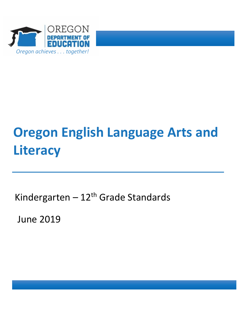

# **Literacy Oregon English Language Arts and**

Kindergarten  $-12$ <sup>th</sup> Grade Standards

June 2019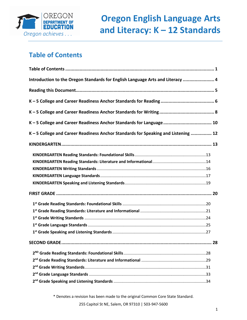

# <span id="page-1-0"></span>**Table of Contents**

| Introduction to the Oregon Standards for English Language Arts and Literacy  4   |
|----------------------------------------------------------------------------------|
|                                                                                  |
|                                                                                  |
|                                                                                  |
|                                                                                  |
| K-5 College and Career Readiness Anchor Standards for Speaking and Listening  12 |
|                                                                                  |
|                                                                                  |
|                                                                                  |
|                                                                                  |
|                                                                                  |
|                                                                                  |
|                                                                                  |
|                                                                                  |
|                                                                                  |
|                                                                                  |
|                                                                                  |
|                                                                                  |
|                                                                                  |
|                                                                                  |
|                                                                                  |
|                                                                                  |
|                                                                                  |
|                                                                                  |

\* Denotes a revision has been made to the original Common Core State Standard.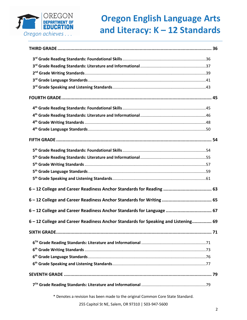

| 69. 6-12 College and Career Readiness Anchor Standards for Speaking and Listening 6 |  |
|-------------------------------------------------------------------------------------|--|
|                                                                                     |  |
|                                                                                     |  |
|                                                                                     |  |
|                                                                                     |  |
|                                                                                     |  |
|                                                                                     |  |
|                                                                                     |  |

\* Denotes a revision has been made to the original Common Core State Standard.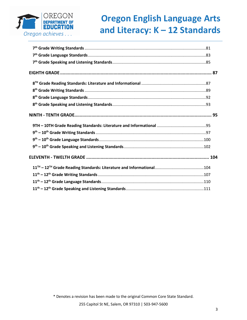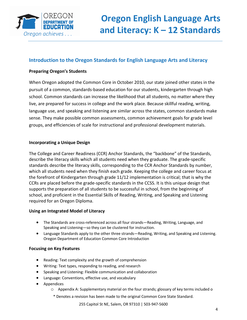

# <span id="page-4-0"></span>**Introduction to the Oregon Standards for English Language Arts and Literacy**

#### **Preparing Oregon's Students**

 When Oregon adopted the Common Core in October 2010, our state joined other states in the pursuit of a common, standards-based education for our students, kindergarten through high groups, and efficiencies of scale for instructional and professional development materials. school. Common standards can increase the likelihood that all students, no matter where they live, are prepared for success in college and the work place. Because skillful reading, writing, language use, and speaking and listening are similar across the states, common standards make sense. They make possible common assessments, common achievement goals for grade level

#### **Incorporating a Unique Design**

 standards describe the literacy skills, corresponding to the CCR Anchor Standards by number, which all students need when they finish each grade. Keeping the college and career focus at CCRs are placed before the grade-specific standards in the CCSS. It is this unique design that supports the preparation of all students to be successful in school, from the beginning of The College and Career Readiness (CCR) Anchor Standards, the "backbone" of the Standards, describe the literacy skills which all students need when they graduate. The grade-specific the forefront of Kindergarten through grade 11/12 implementation is critical; that is why the school, and proficient in the Essential Skills of Reading, Writing, and Speaking and Listening required for an Oregon Diploma.

#### **Using an Integrated Model of Literacy**

- The Standards are cross-referenced across all four strands—Reading, Writing, Language, and Speaking and Listening—so they can be clustered for instruction.
- Language Standards apply to the other three strands—Reading, Writing, and Speaking and Listening. Oregon Department of Education Common Core Introduction

#### **Focusing on Key Features**

- Reading: Text complexity and the growth of comprehension
- Writing: Text types, responding to reading, and research
- Speaking and Listening: Flexible communication and collaboration
- Language: Conventions, effective use, and vocabulary
- Appendices
	- $\circ$  Appendix A: Supplementary material on the four strands; glossary of key terms included o
	- \* Denotes a revision has been made to the original Common Core State Standard.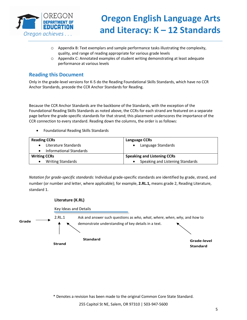

- o Appendix B: Text exemplars and sample performance tasks illustrating the complexity, quality, and range of reading appropriate for various grade levels
- o Appendix C: Annotated examples of student writing demonstrating at least adequate performance at various levels

### <span id="page-5-0"></span>**Reading this Document**

 Only in the grade-level versions for K-5 do the Reading Foundational Skills Standards, which have no CCR Anchor Standards, precede the CCR Anchor Standards for Reading.

Because the CCR Anchor Standards are the backbone of the Standards, with the exception of the Foundational Reading Skills Standards as noted above, the CCRs for each strand are featured on a separate page before the grade-specific standards for that strand; this placement underscores the importance of the CCR connection to every standard. Reading down the columns, the order is as follows:

• Foundational Reading Skills Standards

| <b>Reading CCRs</b>      | Language CCRs                      |
|--------------------------|------------------------------------|
| Literature Standards     | Language Standards                 |
| Informational Standards  |                                    |
| <b>Writing CCRs</b>      | <b>Speaking and Listening CCRs</b> |
| <b>Writing Standards</b> | Speaking and Listening Standards   |

 number (or number and letter, where applicable); for example, **2.RL.1,** means grade 2, Reading Literature, *Notation for grade-specific standards:* Individual grade-specific standards are identified by grade, strand, and standard 1.



\* Denotes a revision has been made to the original Common Core State Standard.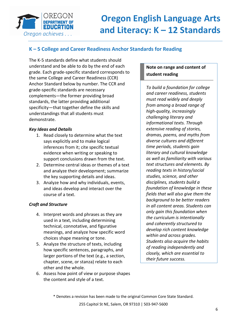

# <span id="page-6-0"></span>**K – 5 College and Career Readiness Anchor Standards for Reading**

 understand and be able to do by the end of each The K-5 standards define what students should grade. Each grade-specific standard corresponds to the same College and Career Readiness (CCR) Anchor Standard below by number. The CCR and grade-specific standards are necessary complements—the former providing broad standards, the latter providing additional specificity—that together define the skills and understandings that all students must demonstrate.

#### *Key Ideas and Details*

- 1. Read closely to determine what the text says explicitly and to make logical inferences from it; cite specific textual support conclusions drawn from the text. evidence when writing or speaking to
- 2. Determine central ideas or themes of a text and analyze their development; summarize the key supporting details and ideas.
- and ideas develop and interact over the 3. Analyze how and why individuals, events, course of a text.

#### *Craft and Structure*

- used in a text, including determining 4. Interpret words and phrases as they are technical, connotative, and figurative meanings, and analyze how specific word choices shape meaning or tone.
- larger portions of the text (e.g., a section, 5. Analyze the structure of texts, including how specific sentences, paragraphs, and chapter, scene, or stanza) relate to each other and the whole.
- 6. Assess how point of view or purpose shapes the content and style of a text.

# **Note on range and content of student reading**

 *background to be better readers To build a foundation for college and career readiness, students must read widely and deeply from among a broad range of high-quality, increasingly challenging literary and informational texts. Through extensive reading of stories, dramas, poems, and myths from diverse cultures and different time periods, students gain literary and cultural knowledge as well as familiarity with various text structures and elements. By reading texts in history/social studies, science, and other disciplines, students build a foundation of knowledge in these fields that will also give them the in all content areas. Students can only gain this foundation when the curriculum is intentionally and coherently structured to develop rich content knowledge within and across grades. Students also acquire the habits of reading independently and closely, which are essential to their future success.* 

<sup>\*</sup> Denotes a revision has been made to the original Common Core State Standard.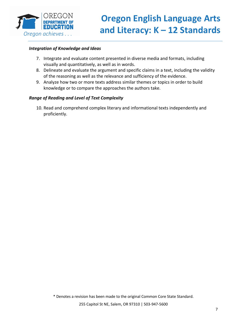

#### *Integration of Knowledge and Ideas*

- 7. Integrate and evaluate content presented in diverse media and formats, including visually and quantitatively, as well as in words.
- 8. Delineate and evaluate the argument and specific claims in a text, including the validity of the reasoning as well as the relevance and sufficiency of the evidence.
- knowledge or to compare the approaches the authors take. 9. Analyze how two or more texts address similar themes or topics in order to build

#### *Range of Reading and Level of Text Complexity*

10. Read and comprehend complex literary and informational texts independently and proficiently.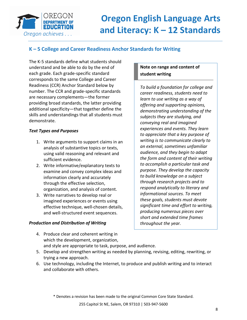

# <span id="page-8-0"></span>**K – 5 College and Career Readiness Anchor Standards for Writing**

 understand and be able to do by the end of corresponds to the same College and Career The K-5 standards define what students should each grade. Each grade-specific standard Readiness (CCR) Anchor Standard below by number. The CCR and grade-specific standards are necessary complements—the former providing broad standards, the latter providing additional specificity—that together define the skills and understandings that all students must demonstrate.

#### *Text Types and Purposes*

- 1. Write arguments to support claims in an analysis of substantive topics or texts, using valid reasoning and relevant and sufficient evidence.
- 2. Write informative/explanatory texts to examine and convey complex ideas and information clearly and accurately through the effective selection, organization, and analysis of content.
- 3. Write narratives to develop real or imagined experiences or events using effective technique, well-chosen details, and well-structured event sequences.

#### *Production and Distribution of Writing*

# **Note on range and content of student writing**

 *experiences and events. They learn to appreciate that a key purpose of writing is to communicate clearly to To build a foundation for college and career readiness, students need to learn to use writing as a way of offering and supporting opinions, demonstrating understanding of the subjects they are studying, and conveying real and imagined an external, sometimes unfamiliar audience, and they begin to adapt the form and content of their writing to accomplish a particular task and purpose. They develop the capacity to build knowledge on a subject through research projects and to respond analytically to literary and informational sources. To meet these goals, students must devote significant time and effort to writing, producing numerous pieces over short and extended time frames throughout the year.* 

- and style are appropriate to task, purpose, and audience. 4. Produce clear and coherent writing in which the development, organization,
- and style are appropriate to task, purpose, and audience. 5. Develop and strengthen writing as needed by planning, revising, editing, rewriting, or trying a new approach.
- 6. Use technology, including the Internet, to produce and publish writing and to interact and collaborate with others.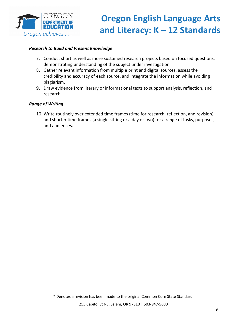

#### *Research to Build and Present Knowledge*

- 7. Conduct short as well as more sustained research projects based on focused questions, demonstrating understanding of the subject under investigation.
- 8. Gather relevant information from multiple print and digital sources, assess the credibility and accuracy of each source, and integrate the information while avoiding plagiarism.
- 9. Draw evidence from literary or informational texts to support analysis, reflection, and research.

#### *Range of Writing*

 10. Write routinely over extended time frames (time for research, reflection, and revision) and shorter time frames (a single sitting or a day or two) for a range of tasks, purposes, and audiences.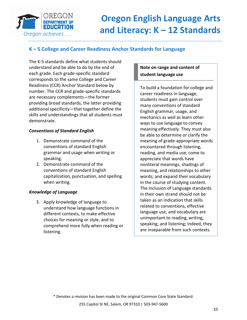

# <span id="page-10-0"></span>**K – 5 College and Career Readiness Anchor Standards for Language**

 understand and be able to do by the end of corresponds to the same College and Career The K-5 standards define what students should each grade. Each grade-specific standard Readiness (CCR) Anchor Standard below by number. The CCR and grade-specific standards are necessary complements—the former providing broad standards, the latter providing additional specificity—that together define the skills and understandings that all students must demonstrate.

#### *Conventions of Standard English*

- 1. Demonstrate command of the conventions of standard English grammar and usage when writing or speaking.
- 2. Demonstrate command of the conventions of standard English capitalization, punctuation, and spelling when writing.

#### *Knowledge of Language*

 comprehend more fully when reading or 3. Apply knowledge of language to understand how language functions in different contexts, to make effective choices for meaning or style, and to listening.

# **Note on range and content of student language use**

 ways to use language to convey meaning effectively. They must also be able to determine or clarify the reading, and media use; come to taken as an indication that skills unimportant to reading, writing, To build a foundation for college and career readiness in language, students must gain control over many conventions of standard English grammar, usage, and mechanics as well as learn other meaning of grade-appropriate words encountered through listening, appreciate that words have nonliteral meanings, shadings of meaning, and relationships to other words; and expand their vocabulary in the course of studying content. The inclusion of Language standards in their own strand should not be related to conventions, effective language use, and vocabulary are speaking, and listening; indeed, they are inseparable from such contexts.

<sup>\*</sup> Denotes a revision has been made to the original Common Core State Standard.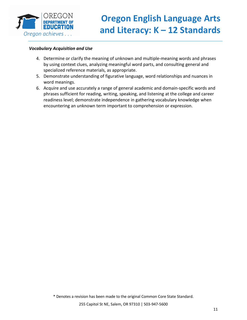

#### *Vocabulary Acquisition and Use*

- 4. Determine or clarify the meaning of unknown and multiple-meaning words and phrases by using context clues, analyzing meaningful word parts, and consulting general and specialized reference materials, as appropriate.
- 5. Demonstrate understanding of figurative language, word relationships and nuances in word meanings.
- 6. Acquire and use accurately a range of general academic and domain-specific words and phrases sufficient for reading, writing, speaking, and listening at the college and career readiness level; demonstrate independence in gathering vocabulary knowledge when encountering an unknown term important to comprehension or expression.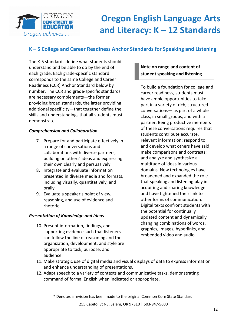

# <span id="page-12-0"></span>**K – 5 College and Career Readiness Anchor Standards for Speaking and Listening**

 understand and be able to do by the end of corresponds to the same College and Career The K-5 standards define what students should each grade. Each grade-specific standard Readiness (CCR) Anchor Standard below by number. The CCR and grade-specific standards are necessary complements—the former providing broad standards, the latter providing additional specificity—that together define the skills and understandings that all students must demonstrate.

#### *Comprehension and Collaboration*

- a range of conversations and 7. Prepare for and participate effectively in collaborations with diverse partners, building on others' ideas and expressing their own clearly and persuasively.
- 8. Integrate and evaluate information presented in diverse media and formats, including visually, quantitatively, and orally.
- 9. Evaluate a speaker's point of view, reasoning, and use of evidence and rhetoric.

#### *Presentation of Knowledge and Ideas*

 can follow the line of reasoning and the 10. Present information, findings, and supporting evidence such that listeners organization, development, and style are appropriate to task, purpose, and audience.

# **Note on range and content of student speaking and listening**

 have ample opportunities to take conversations— as part of a whole multitude of ideas in various domains. New technologies have broadened and expanded the role To build a foundation for college and career readiness, students must part in a variety of rich, structured class, in small groups, and with a partner. Being productive members of these conversations requires that students contribute accurate, relevant information; respond to and develop what others have said; make comparisons and contrasts; and analyze and synthesize a that speaking and listening play in acquiring and sharing knowledge and have tightened their link to other forms of communication. Digital texts confront students with the potential for continually updated content and dynamically changing combinations of words, graphics, images, hyperlinks, and embedded video and audio.

- 11. Make strategic use of digital media and visual displays of data to express information and enhance understanding of presentations.
- 12. Adapt speech to a variety of contexts and communicative tasks, demonstrating command of formal English when indicated or appropriate.

<sup>\*</sup> Denotes a revision has been made to the original Common Core State Standard.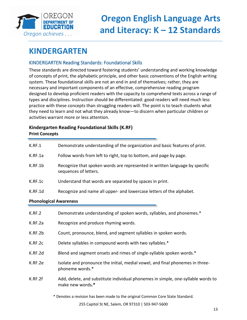

# <span id="page-13-0"></span>**KINDERGARTEN**

# <span id="page-13-1"></span>KINDERGARTEN Reading Standards: Foundational Skills

 system. These foundational skills are not an end in and of themselves; rather, they are practice with these concepts than struggling readers will. The point is to teach students what These standards are directed toward fostering students' understanding and working knowledge of concepts of print, the alphabetic principle, and other basic conventions of the English writing necessary and important components of an effective, comprehensive reading program designed to develop proficient readers with the capacity to comprehend texts across a range of types and disciplines. Instruction should be differentiated: good readers will need much less they need to learn and not what they already know—to discern when particular children or activities warrant more or less attention.

#### **Kindergarten Reading Foundational Skills (K.RF) Print Concepts**

| K.RF.1                        | Demonstrate understanding of the organization and basic features of print.                           |
|-------------------------------|------------------------------------------------------------------------------------------------------|
| K.RF.1a                       | Follow words from left to right, top to bottom, and page by page.                                    |
| K.RF.1b                       | Recognize that spoken words are represented in written language by specific<br>sequences of letters. |
| K.RF.1c                       | Understand that words are separated by spaces in print.                                              |
| K.RF.1d                       | Recognize and name all upper- and lowercase letters of the alphabet.                                 |
| <b>Phonological Awareness</b> |                                                                                                      |
| K.RF.2                        | Demonstrate understanding of spoken words, syllables, and phonemes.*                                 |
| K.RF.2a                       | Recognize and produce rhyming words.                                                                 |
| K.RF.2b                       | Count, pronounce, blend, and segment syllables in spoken words.                                      |

- K.RF.2c Delete syllables in compound words with two syllables.\*
- K.RF.2d Blend and segment onsets and rimes of single-syllable spoken words.\*
- K.RF.2e Isolate and pronounce the initial, medial vowel, and final phonemes in threephoneme words.\*
- K.RF.2f Add, delete, and substitute individual phonemes in simple, one-syllable words to make new words*.***\***

\* Denotes a revision has been made to the original Common Core State Standard.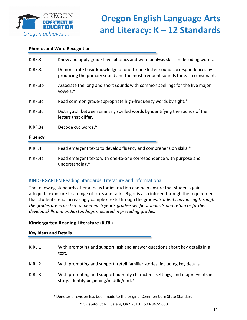

#### **Phonics and Word Recognition**

| K.RF.3         | Know and apply grade-level phonics and word analysis skills in decoding words.                                                                            |
|----------------|-----------------------------------------------------------------------------------------------------------------------------------------------------------|
| K.RF.3a        | Demonstrate basic knowledge of one-to-one letter-sound correspondences by<br>producing the primary sound and the most frequent sounds for each consonant. |
| K.RF.3b        | Associate the long and short sounds with common spellings for the five major<br>vowels.*                                                                  |
| K.RF.3c        | Read common grade-appropriate high-frequency words by sight.*                                                                                             |
| K.RF.3d        | Distinguish between similarly spelled words by identifying the sounds of the<br>letters that differ.                                                      |
| K.RF.3e        | Decode cyc words.*                                                                                                                                        |
| <b>Fluency</b> |                                                                                                                                                           |
| K.RF.4         | Read emergent texts to develop fluency and comprehension skills.*                                                                                         |
| K.RF.4a        | Read emergent texts with one-to-one correspondence with purpose and<br>understanding.*                                                                    |

#### <span id="page-14-0"></span>KINDERGARTEN Reading Standards: Literature and Informational

 The following standards offer a focus for instruction and help ensure that students gain adequate exposure to a range of texts and tasks. Rigor is also infused through the requirement that students read increasingly complex texts through the grades. *Students advancing through the grades are expected to meet each year's grade-specific standards and retain or further develop skills and understandings mastered in preceding grades.* 

#### **Kindergarten Reading Literature (K.RL)**

#### **Key Ideas and Details**

| K.RL.1 | With prompting and support, ask and answer questions about key details in a<br>text.                                       |
|--------|----------------------------------------------------------------------------------------------------------------------------|
| K.RL.2 | With prompting and support, retell familiar stories, including key details.                                                |
| K.RL.3 | With prompting and support, identify characters, settings, and major events in a<br>story. Identify beginning/middle/end.* |

\* Denotes a revision has been made to the original Common Core State Standard.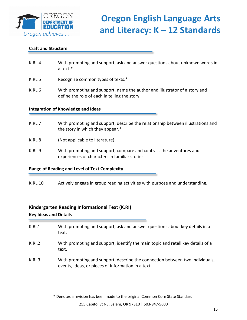

#### **Craft and Structure**

- K.RL.4 With prompting and support, ask and answer questions about unknown words in a text.\*
- K.RL.5 Recognize common types of texts.\*
- K.RL.6 With prompting and support, name the author and illustrator of a story and define the role of each in telling the story.

#### **Integration of Knowledge and Ideas**

- K.RL.7 With prompting and support, describe the relationship between illustrations and the story in which they appear.\*
- K.RL.8 (Not applicable to literature)
- K.RL.9 With prompting and support, compare and contrast the adventures and experiences of characters in familiar stories.

#### **Range of Reading and Level of Text Complexity**

K.RL.10 Actively engage in group reading activities with purpose and understanding.

#### **Kindergarten Reading Informational Text (K.RI)**

#### **Key Ideas and Details**

K.RI.1 With prompting and support, ask and answer questions about key details in a text. K.RI.2 With prompting and support, identify the main topic and retell key details of a text. K.RI.3 With prompting and support, describe the connection between two individuals, events, ideas, or pieces of information in a text.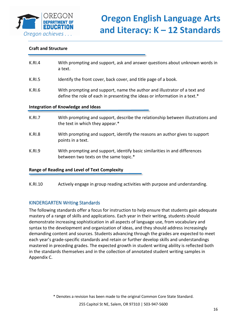

#### **Craft and Structure**

| K.RI.4        | With prompting and support, ask and answer questions about unknown words in<br>a text.                                                                  |  |  |
|---------------|---------------------------------------------------------------------------------------------------------------------------------------------------------|--|--|
| K.RI.5        | Identify the front cover, back cover, and title page of a book.                                                                                         |  |  |
| K.RI.6        | With prompting and support, name the author and illustrator of a text and<br>define the role of each in presenting the ideas or information in a text.* |  |  |
|               | <b>Integration of Knowledge and Ideas</b>                                                                                                               |  |  |
| K.RI.7        | With prompting and support, describe the relationship between illustrations and<br>the text in which they appear.*                                      |  |  |
| K.RI.8        | With prompting and support, identify the reasons an author gives to support<br>points in a text.                                                        |  |  |
| <b>K.RI.9</b> | With prompting and support, identify basic similarities in and differences<br>between two texts on the same topic.*                                     |  |  |
|               | <b>Range of Reading and Level of Text Complexity</b>                                                                                                    |  |  |

K.RI.10 Actively engage in group reading activities with purpose and understanding.

### <span id="page-16-0"></span>KINDERGARTEN Writing Standards

 The following standards offer a focus for instruction to help ensure that students gain adequate mastery of a range of skills and applications. Each year in their writing, students should demonstrate increasing sophistication in all aspects of language use, from vocabulary and syntax to the development and organization of ideas, and they should address increasingly demanding content and sources. Students advancing through the grades are expected to meet each year's grade-specific standards and retain or further develop skills and understandings mastered in preceding grades. The expected growth in student writing ability is reflected both in the standards themselves and in the collection of annotated student writing samples in Appendix C.

\* Denotes a revision has been made to the original Common Core State Standard.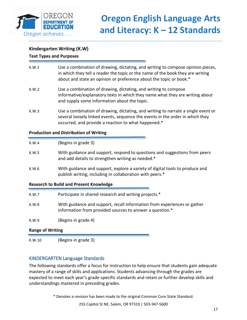

#### **Kindergarten Writing (K.W)**

#### **Text Types and Purposes**

- in which they tell a reader the topic or the name of the book they are writing about and state an opinion or preference about the topic or book.\* K.W.1 Use a combination of drawing, dictating, and writing to compose opinion pieces,
- K.W.2 Use a combination of drawing, dictating, and writing to compose informative/explanatory texts in which they name what they are writing about and supply some information about the topic.
- K.W.3 Use a combination of drawing, dictating, and writing to narrate a single event or several loosely linked events, sequence the events in the order in which they occurred, and provide a reaction to what happened.\*

#### **Production and Distribution of Writing**

| K.W.4 | (Begins in grade 3) |
|-------|---------------------|
|       |                     |

- K.W.5 With guidance and support, respond to questions and suggestions from peers and add details to strengthen writing as needed.\*
- K.W.6 With guidance and support, explore a variety of digital tools to produce and publish writing, including in collaboration with peers.\*

#### **Research to Build and Present Knowledge**

 K.W.8 With guidance and support, recall information from experiences or gather information from provided sources to answer a question.\* K.W.7 Participate in shared research and writing projects.\* K.W.9 (Begins in grade 4)

#### **Range of Writing**

K.W.10 (Begins in grade 3)

### <span id="page-17-0"></span>KINDERGARTEN Language Standards

 The following standards offer a focus for instruction to help ensure that students gain adequate mastery of a range of skills and applications. Students advancing through the grades are expected to meet each year's grade-specific standards and retain or further develop skills and understandings mastered in preceding grades.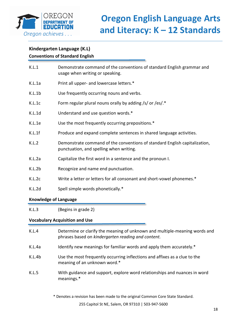

# **Kindergarten Language (K.L) Conventions of Standard English**

| K.L.1  | Demonstrate command of the conventions of standard English grammar and<br>usage when writing or speaking.             |
|--------|-----------------------------------------------------------------------------------------------------------------------|
| K.L.1a | Print all upper- and lowercase letters.*                                                                              |
| K.L.1b | Use frequently occurring nouns and verbs.                                                                             |
| K.L.1c | Form regular plural nouns orally by adding /s/ or /es/.*                                                              |
| K.L.1d | Understand and use question words.*                                                                                   |
| K.L.1e | Use the most frequently occurring prepositions.*                                                                      |
| K.L.1f | Produce and expand complete sentences in shared language activities.                                                  |
| K.L.2  | Demonstrate command of the conventions of standard English capitalization,<br>punctuation, and spelling when writing. |
| K.L.2a | Capitalize the first word in a sentence and the pronoun I.                                                            |
| K.L.2b | Recognize and name end punctuation.                                                                                   |
| K.L.2c | Write a letter or letters for all consonant and short-vowel phonemes.*                                                |
| K.L.2d | Spell simple words phonetically.*                                                                                     |

#### **Knowledge of Language**

K.L.3 (Begins in grade 2)

#### **Vocabulary Acquisition and Use**

- K.L.4 Determine or clarify the meaning of unknown and multiple-meaning words and phrases based on *kindergarten reading and content.*
- K.L.4a Identify new meanings for familiar words and apply them accurately.\*
- K.L.4b Use the most frequently occurring inflections and affixes as a clue to the meaning of an unknown word.\*
- K.L.5 With guidance and support, explore word relationships and nuances in word meanings.\*

\* Denotes a revision has been made to the original Common Core State Standard.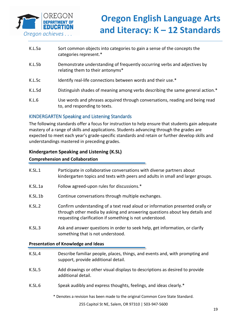

- K.L.5a Sort common objects into categories to gain a sense of the concepts the categories represent.\*
- K.L.5b Demonstrate understanding of frequently occurring verbs and adjectives by relating them to their antonyms\*
- K.L.5c Identify real-life connections between words and their use.\*
- K.L.5d Distinguish shades of meaning among verbs describing the same general action.\*
- to, and responding to texts. K.L.6 Use words and phrases acquired through conversations, reading and being read

# <span id="page-19-0"></span>KINDERGARTEN Speaking and Listening Standards

 The following standards offer a focus for instruction to help ensure that students gain adequate mastery of a range of skills and applications. Students advancing through the grades are expected to meet each year's grade-specific standards and retain or further develop skills and understandings mastered in preceding grades.

### **Kindergarten Speaking and Listening (K.SL)**

#### **Comprehension and Collaboration**

| K.SL.1                                     | Participate in collaborative conversations with diverse partners about<br>kindergarten topics and texts with peers and adults in small and larger groups.                                                                |  |
|--------------------------------------------|--------------------------------------------------------------------------------------------------------------------------------------------------------------------------------------------------------------------------|--|
| K.SL.1a                                    | Follow agreed-upon rules for discussions.*                                                                                                                                                                               |  |
| K.SL.1b                                    | Continue conversations through multiple exchanges.                                                                                                                                                                       |  |
| K.SL.2                                     | Confirm understanding of a text read aloud or information presented orally or<br>through other media by asking and answering questions about key details and<br>requesting clarification if something is not understood. |  |
| K.SL.3                                     | Ask and answer questions in order to seek help, get information, or clarify<br>something that is not understood.                                                                                                         |  |
| <b>Presentation of Knowledge and Ideas</b> |                                                                                                                                                                                                                          |  |
| K.SL.4                                     | Describe familiar people, places, things, and events and, with prompting and<br>support, provide additional detail.                                                                                                      |  |

- K.SL.5 Add drawings or other visual displays to descriptions as desired to provide additional detail.
- K.SL.6 Speak audibly and express thoughts, feelings, and ideas clearly.\*

\* Denotes a revision has been made to the original Common Core State Standard.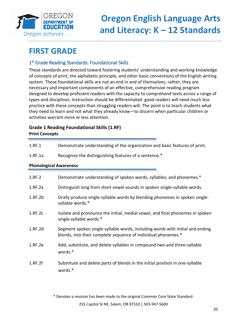

# <span id="page-20-0"></span>**FIRST GRADE**

# <span id="page-20-1"></span>1<sup>st</sup> Grade Reading Standards: Foundational Skills

 system. These foundational skills are not an end in and of themselves; rather, they are practice with these concepts than struggling readers will. The point is to teach students what These standards are directed toward fostering students' understanding and working knowledge of concepts of print, the alphabetic principle, and other basic conventions of the English writing necessary and important components of an effective, comprehensive reading program designed to develop proficient readers with the capacity to comprehend texts across a range of types and disciplines. Instruction should be differentiated: good readers will need much less they need to learn and not what they already know—to discern when particular children or activities warrant more or less attention.

#### **Grade 1 Reading Foundational Skills (1.RF) Print Concepts**

| 1.RF.1 | Demonstrate understanding of the organization and basic features of print. |
|--------|----------------------------------------------------------------------------|
|        |                                                                            |

1.RF.1a Recognize the distinguishing features of a sentence.\*

#### **Phonological Awareness**

| 1.RF.2  | Demonstrate understanding of spoken words, syllables, and phonemes.*                                                                           |
|---------|------------------------------------------------------------------------------------------------------------------------------------------------|
| 1.RF.2a | Distinguish long from short vowel sounds in spoken single-syllable words.                                                                      |
| 1.RF.2b | Orally produce single-syllable words by blending phonemes in spoken single-<br>syllable words.*                                                |
| 1.RF.2c | Isolate and pronounce the initial, medial vowel, and final phonemes in spoken<br>single-syllable words.*                                       |
| 1.RF.2d | Segment spoken single-syllable words, including words with initial and ending<br>blends, into their complete sequence of individual phonemes.* |
| 1.RF.2e | Add, substitute, and delete syllables in compound two-and three-syllable<br>words.*                                                            |
| 1.RF.2f | Substitute and delete parts of blends in the initial position in one-syllable<br>words.*                                                       |

\* Denotes a revision has been made to the original Common Core State Standard.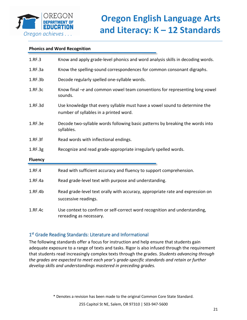

#### **Phonics and Word Recognition**

| 1.RF.3         | Know and apply grade-level phonics and word analysis skills in decoding words.                                       |
|----------------|----------------------------------------------------------------------------------------------------------------------|
| 1.RF.3a        | Know the spelling-sound correspondences for common consonant digraphs.                                               |
| 1.RF.3b        | Decode regularly spelled one-syllable words.                                                                         |
| 1.RF.3c        | Know final -e and common vowel team conventions for representing long vowel<br>sounds.                               |
| 1.RF.3d        | Use knowledge that every syllable must have a vowel sound to determine the<br>number of syllables in a printed word. |
| 1.RF.3e        | Decode two-syllable words following basic patterns by breaking the words into<br>syllables.                          |
| 1.RF.3f        | Read words with inflectional endings.                                                                                |
| 1.RF.3g        | Recognize and read grade-appropriate irregularly spelled words.                                                      |
| <b>Fluency</b> |                                                                                                                      |
| 1.RF.4         | Read with sufficient accuracy and fluency to support comprehension.                                                  |
| 1.RF.4a        | Read grade-level text with purpose and understanding.                                                                |
| 1.RF.4b        | Read grade-level text orally with accuracy, appropriate rate and expression on<br>successive readings.               |
| 1.RF.4c        | Use context to confirm or self-correct word recognition and understanding,<br>rereading as necessary.                |

## <span id="page-21-0"></span>1<sup>st</sup> Grade Reading Standards: Literature and Informational

 The following standards offer a focus for instruction and help ensure that students gain adequate exposure to a range of texts and tasks. Rigor is also infused through the requirement that students read increasingly complex texts through the grades. *Students advancing through the grades are expected to meet each year's grade-specific standards and retain or further develop skills and understandings mastered in preceding grades.*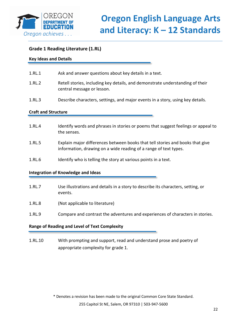

#### **Grade 1 Reading Literature (1.RL)**

#### **Key Ideas and Details**

| 1.RL.1 | Ask and answer questions about key details in a text.                                                       |
|--------|-------------------------------------------------------------------------------------------------------------|
| 1.RL.2 | Retell stories, including key details, and demonstrate understanding of their<br>central message or lesson. |

1.RL.3 Describe characters, settings, and major events in a story, using key details.

#### **Craft and Structure**

- 1.RL.4 Identify words and phrases in stories or poems that suggest feelings or appeal to the senses.
- information, drawing on a wide reading of a range of text types. 1.RL.5 Explain major differences between books that tell stories and books that give
- 1.RL.6 Identify who is telling the story at various points in a text.

#### **Integration of Knowledge and Ideas**

- 1.RL.7 Use illustrations and details in a story to describe its characters, setting, or events.
- 1.RL.8 (Not applicable to literature)
- 1.RL.9 Compare and contrast the adventures and experiences of characters in stories.

#### **Range of Reading and Level of Text Complexity**

1.RL.10 With prompting and support, read and understand prose and poetry of appropriate complexity for grade 1.

\* Denotes a revision has been made to the original Common Core State Standard.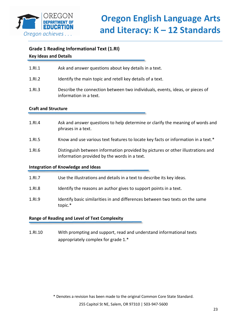

# **Grade 1 Reading Informational Text (1.RI)**

| 1.RI.1 | Ask and answer questions about key details in a text. |
|--------|-------------------------------------------------------|
|--------|-------------------------------------------------------|

- 1.RI.2 Identify the main topic and retell key details of a text.
- 1.RI.3 Describe the connection between two individuals, events, ideas, or pieces of information in a text.

#### **Craft and Structure**

- 1.RI.4 Ask and answer questions to help determine or clarify the meaning of words and phrases in a text.
- 1.RI.5 Know and use various text features to locate key facts or information in a text.\*
- 1.RI.6 Distinguish between information provided by pictures or other illustrations and information provided by the words in a text.

#### **Integration of Knowledge and Ideas**

- 1.RI.7 Use the illustrations and details in a text to describe its key ideas.
- 1.RI.8 Identify the reasons an author gives to support points in a text.
- 1.RI.9 Identify basic similarities in and differences between two texts on the same topic.\*

#### **Range of Reading and Level of Text Complexity**

 1.RI.10 With prompting and support, read and understand informational texts appropriately complex for grade 1.\*

\* Denotes a revision has been made to the original Common Core State Standard.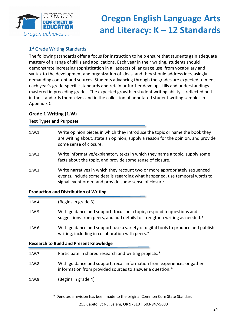

# <span id="page-24-0"></span>1<sup>st</sup> Grade Writing Standards

 The following standards offer a focus for instruction to help ensure that students gain adequate mastery of a range of skills and applications. Each year in their writing, students should demonstrate increasing sophistication in all aspects of language use, from vocabulary and syntax to the development and organization of ideas, and they should address increasingly demanding content and sources. Students advancing through the grades are expected to meet each year's grade-specific standards and retain or further develop skills and understandings mastered in preceding grades. The expected growth in student writing ability is reflected both in the standards themselves and in the collection of annotated student writing samples in Appendix C.

### **Grade 1 Writing (1.W)**

#### **Text Types and Purposes**

 1.W.1 Write opinion pieces in which they introduce the topic or name the book they events, include some details regarding what happened, use temporal words to are writing about, state an opinion, supply a reason for the opinion, and provide some sense of closure. 1.W.2 Write informative/explanatory texts in which they name a topic, supply some facts about the topic, and provide some sense of closure. 1.W.3 Write narratives in which they recount two or more appropriately sequenced

signal event order, and provide some sense of closure.

# **Production and Distribution of Writing**

| 1.W.4                                          | (Begins in grade 3)                                                                                                                                |
|------------------------------------------------|----------------------------------------------------------------------------------------------------------------------------------------------------|
| 1.W.5                                          | With guidance and support, focus on a topic, respond to questions and<br>suggestions from peers, and add details to strengthen writing as needed.* |
| 1.W.6                                          | With guidance and support, use a variety of digital tools to produce and publish<br>writing, including in collaboration with peers.*               |
| <b>Research to Build and Present Knowledge</b> |                                                                                                                                                    |

- 1.W.7 Participate in shared research and writing projects.\*
- 1.W.8 With guidance and support, recall information from experiences or gather information from provided sources to answer a question.\*
- (Begins in grade 4)

1.W.9 (Begins in grade 4)<br>\* Denotes a revision has been made to the original Common Core State Standard.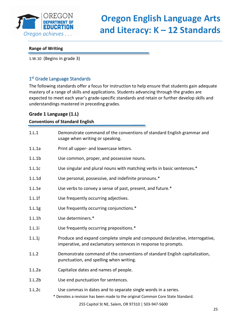

#### **Range of Writing**

1.W.10 (Begins in grade 3)

### <span id="page-25-0"></span>1st Grade Language Standards

 The following standards offer a focus for instruction to help ensure that students gain adequate mastery of a range of skills and applications. Students advancing through the grades are expected to meet each year's grade-specific standards and retain or further develop skills and understandings mastered in preceding grades.

#### **Grade 1 Language (1.L)**

**Conventions of Standard English** 

| 1.L.1  | Demonstrate command of the conventions of standard English grammar and<br>usage when writing or speaking.                                       |
|--------|-------------------------------------------------------------------------------------------------------------------------------------------------|
| 1.L.1a | Print all upper- and lowercase letters.                                                                                                         |
| 1.L.1b | Use common, proper, and possessive nouns.                                                                                                       |
| 1.L.1c | Use singular and plural nouns with matching verbs in basic sentences.*                                                                          |
| 1.L.1d | Use personal, possessive, and indefinite pronouns.*                                                                                             |
| 1.L.1e | Use verbs to convey a sense of past, present, and future.*                                                                                      |
| 1.L.1f | Use frequently occurring adjectives.                                                                                                            |
| 1.L.1g | Use frequently occurring conjunctions.*                                                                                                         |
| 1.L.1h | Use determiners.*                                                                                                                               |
| 1.L.1i | Use frequently occurring prepositions.*                                                                                                         |
| 1.L.1j | Produce and expand complete simple and compound declarative, interrogative,<br>imperative, and exclamatory sentences in response to prompts.    |
| 1.L.2  | Demonstrate command of the conventions of standard English capitalization,<br>punctuation, and spelling when writing.                           |
| 1.L.2a | Capitalize dates and names of people.                                                                                                           |
| 1.L.2b | Use end punctuation for sentences.                                                                                                              |
| 1.L.2c | Use commas in dates and to separate single words in a series.<br>* Denotes a revision has been made to the original Common Core State Standard. |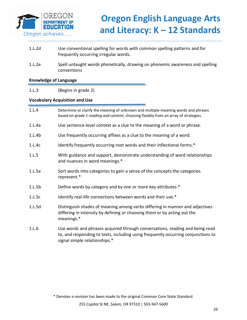

- 1.L.2d Use conventional spelling for words with common spelling patterns and for frequently occurring irregular words.
- 1.L.2e Spell untaught words phonetically, drawing on phonemic awareness and spelling conventions

#### **Knowledge of Language**

1.L.3 (Begins in grade 2)

#### **Vocabulary Acquisition and Use**

| 1.L.4  | Determine or clarify the meaning of unknown and multiple-meaning words and phrases<br>based on grade 1 reading and content, choosing flexibly from an array of strategies.                         |
|--------|----------------------------------------------------------------------------------------------------------------------------------------------------------------------------------------------------|
| 1.L.4a | Use sentence-level context as a clue to the meaning of a word or phrase.                                                                                                                           |
| 1.L.4b | Use frequently occurring affixes as a clue to the meaning of a word.                                                                                                                               |
| 1.L.4c | Identify frequently occurring root words and their inflectional forms.*                                                                                                                            |
| 1.L.5  | With guidance and support, demonstrate understanding of word relationships<br>and nuances in word meanings.*                                                                                       |
| 1.L.5a | Sort words into categories to gain a sense of the concepts the categories<br>represent.*                                                                                                           |
| 1.L.5b | Define words by category and by one or more key attributes.*                                                                                                                                       |
| 1.L.5c | Identify real-life connections between words and their use.*                                                                                                                                       |
| 1.L.5d | Distinguish shades of meaning among verbs differing in manner and adjectives<br>differing in intensity by defining or choosing them or by acting out the<br>meanings.*                             |
| 1.L.6  | Use words and phrases acquired through conversations, reading and being read<br>to, and responding to texts, including using frequently occurring conjunctions to<br>signal simple relationships.* |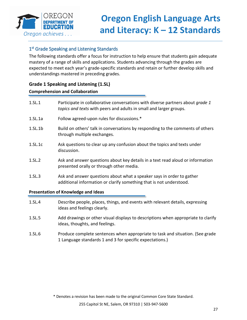

# <span id="page-27-0"></span>1<sup>st</sup> Grade Speaking and Listening Standards

 The following standards offer a focus for instruction to help ensure that students gain adequate mastery of a range of skills and applications. Students advancing through the grades are expected to meet each year's grade-specific standards and retain or further develop skills and understandings mastered in preceding grades.

### **Grade 1 Speaking and Listening (1.SL)**

#### **Comprehension and Collaboration**

| 1.SL.4                                     | Describe people, places, things, and events with relevant details, expressing<br>ideas and feelings clearly.                                         |
|--------------------------------------------|------------------------------------------------------------------------------------------------------------------------------------------------------|
| <b>Presentation of Knowledge and Ideas</b> |                                                                                                                                                      |
| 1.SL.3                                     | Ask and answer questions about what a speaker says in order to gather<br>additional information or clarify something that is not understood.         |
| 1.SL.2                                     | Ask and answer questions about key details in a text read aloud or information<br>presented orally or through other media.                           |
| 1.5L.1c                                    | Ask questions to clear up any confusion about the topics and texts under<br>discussion.                                                              |
| 1.5L.1b                                    | Build on others' talk in conversations by responding to the comments of others<br>through multiple exchanges.                                        |
| 1.SL.1a                                    | Follow agreed-upon rules for discussions.*                                                                                                           |
| 1.SL.1                                     | Participate in collaborative conversations with diverse partners about grade 1<br>topics and texts with peers and adults in small and larger groups. |

- 1.SL.5 Add drawings or other visual displays to descriptions when appropriate to clarify ideas, thoughts, and feelings.
- 1 Language standards 1 and 3 for specific expectations.) 1.SL.6 Produce complete sentences when appropriate to task and situation. (See grade

\* Denotes a revision has been made to the original Common Core State Standard.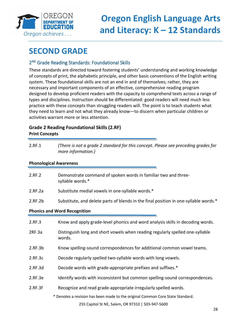

# <span id="page-28-0"></span>**SECOND GRADE**

# <span id="page-28-1"></span>2<sup>ND</sup> Grade Reading Standards: Foundational Skills

 system. These foundational skills are not an end in and of themselves; rather, they are designed to develop proficient readers with the capacity to comprehend texts across a range of practice with these concepts than struggling readers will. The point is to teach students what These standards are directed toward fostering students' understanding and working knowledge of concepts of print, the alphabetic principle, and other basic conventions of the English writing necessary and important components of an effective, comprehensive reading program types and disciplines. Instruction should be differentiated: good readers will need much less they need to learn and not what they already know—to discern when particular children or activities warrant more or less attention.

#### **Grade 2 Reading Foundational Skills (2.RF) Print Concepts**

 $2.RF.1$ (There is not a grade 2 standard for this concept. Please see preceding grades for *more information.)* 

#### **Phonological Awareness**

| 2.RF.2                              | Demonstrate command of spoken words in familiar two and three-<br>syllable words.*      |  |
|-------------------------------------|-----------------------------------------------------------------------------------------|--|
| 2.RF.2a                             | Substitute medial vowels in one-syllable words.*                                        |  |
| 2.RF.2b                             | Substitute, and delete parts of blends in the final position in one-syllable words.*    |  |
| <b>Phonics and Word Recognition</b> |                                                                                         |  |
| 2.RF.3                              | Know and apply grade-level phonics and word analysis skills in decoding words.          |  |
| 2RF.3a                              | Distinguish long and short vowels when reading regularly spelled one-syllable<br>words. |  |
| 2.RF.3b                             | Know spelling-sound correspondences for additional common vowel teams.                  |  |
| 2.RF.3c                             | Decode regularly spelled two-syllable words with long vowels.                           |  |
| 2.RF.3d                             | Decode words with grade-appropriate prefixes and suffixes.*                             |  |
| 2.RF.3e                             | Identify words with inconsistent but common spelling-sound correspondences.             |  |
| 2.RF.3f                             | Recognize and read grade-appropriate irregularly spelled words.                         |  |
|                                     | * Denotes a revision has been made to the original Common Core State Standard.          |  |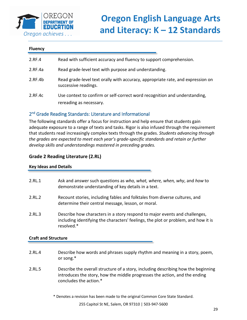

#### **Fluency**

| 2.RF.4  | Read with sufficient accuracy and fluency to support comprehension.                                     |
|---------|---------------------------------------------------------------------------------------------------------|
| 2.RF.4a | Read grade-level text with purpose and understanding.                                                   |
| 2.RF.4b | Read grade-level text orally with accuracy, appropriate rate, and expression on<br>successive readings. |
| 2.RF.4c | Use context to confirm or self-correct word recognition and understanding,<br>rereading as necessary.   |

### <span id="page-29-0"></span>2<sup>nd</sup> Grade Reading Standards: Literature and Informational

 The following standards offer a focus for instruction and help ensure that students gain adequate exposure to a range of texts and tasks. Rigor is also infused through the requirement that students read increasingly complex texts through the grades. *Students advancing through the grades are expected to meet each year's grade-specific standards and retain or further develop skills and understandings mastered in preceding grades.* 

#### **Grade 2 Reading Literature (2.RL)**

#### **Key Ideas and Details**

- 2.RL.1 Ask and answer such questions as *who, what, where, when, why*, and *how* to demonstrate understanding of key details in a text.
- 2.RL.2 Recount stories, including fables and folktales from diverse cultures, and determine their central message, lesson, or moral.
- including identifying the characters' feelings, the plot or problem, and how it is 2.RL.3 Describe how characters in a story respond to major events and challenges, resolved.\*

#### **Craft and Structure**

- 2.RL.4 Describe how words and phrases supply rhythm and meaning in a story, poem, or song.\*
- 2.RL.5 Describe the overall structure of a story, including describing how the beginning introduces the story, how the middle progresses the action, and the ending concludes the action.\*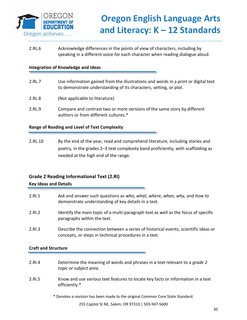

2.RL.6 Acknowledge differences in the points of view of characters, including by speaking in a different voice for each character when reading dialogue aloud.

#### **Integration of Knowledge and Ideas**

- 2.RL.7 Use information gained from the illustrations and words in a print or digital text to demonstrate understanding of its characters, setting, or plot.
- 2.RL.8 (Not applicable to literature)
- 2.RL.9 Compare and contrast two or more versions of the same story by different authors or from different cultures.\*

#### **Range of Reading and Level of Text Complexity**

2.RL.10 By the end of the year, read and comprehend literature, including stories and poetry, in the grades 2–3 text complexity band proficiently, with scaffolding as needed at the high end of the range.

### **Grade 2 Reading Informational Text (2.RI)**

#### **Key Ideas and Details**

- 2.RI.1 Ask and answer such questions as *who, what, where, when, why*, and *how* to demonstrate understanding of key details in a text.
- 2.RI.2 Identify the main topic of a multi-paragraph text as well as the focus of specific paragraphs within the text.
- 2.RI.3 Describe the connection between a series of historical events, scientific ideas or concepts, or steps in technical procedures in a text.

#### **Craft and Structure**

 2.RI.4 Determine the meaning of words and phrases in a text relevant to a *grade 2 topic or subject area*. 2.RI.5 Know and use various text features to locate key facts or information in a text efficiently.\*

\* Denotes a revision has been made to the original Common Core State Standard.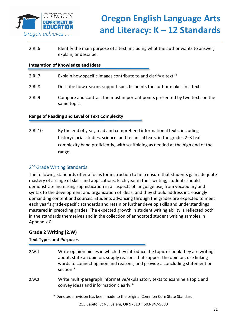

2.RI.6 Identify the main purpose of a text, including what the author wants to answer, explain, or describe.

#### **Integration of Knowledge and Ideas**

- 2.RI.7 Explain how specific images contribute to and clarify a text.\*
- 2.RI.8 Describe how reasons support specific points the author makes in a text.
- 2.RI.9 Compare and contrast the most important points presented by two texts on the same topic.

#### **Range of Reading and Level of Text Complexity**

 complexity band proficiently, with scaffolding as needed at the high end of the 2.RI.10 By the end of year, read and comprehend informational texts, including history/social studies, science, and technical texts, in the grades 2–3 text range.

# <span id="page-31-0"></span>2<sup>nd</sup> Grade Writing Standards

 The following standards offer a focus for instruction to help ensure that students gain adequate mastery of a range of skills and applications. Each year in their writing, students should demonstrate increasing sophistication in all aspects of language use, from vocabulary and syntax to the development and organization of ideas, and they should address increasingly demanding content and sources. Students advancing through the grades are expected to meet each year's grade-specific standards and retain or further develop skills and understandings mastered in preceding grades. The expected growth in student writing ability is reflected both in the standards themselves and in the collection of annotated student writing samples in Appendix C.

#### **Grade 2 Writing (2.W)**

#### **Text Types and Purposes**

- about, state an opinion, supply reasons that support the opinion, use linking 2.W.1 Write opinion pieces in which they introduce the topic or book they are writing words to connect opinion and reasons, and provide a concluding statement or section.\*
- 2.W.2 Write multi-paragraph informative/explanatory texts to examine a topic and convey ideas and information clearly.\*

\* Denotes a revision has been made to the original Common Core State Standard.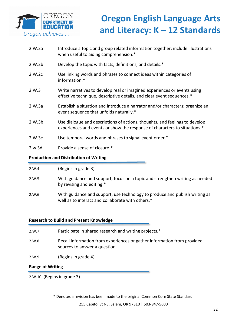

| 2.W.2a | Introduce a topic and group related information together; include illustrations<br>when useful to aiding comprehension.*                                 |
|--------|----------------------------------------------------------------------------------------------------------------------------------------------------------|
| 2.W.2b | Develop the topic with facts, definitions, and details.*                                                                                                 |
| 2.W.2c | Use linking words and phrases to connect ideas within categories of<br>information.*                                                                     |
| 2.W.3  | Write narratives to develop real or imagined experiences or events using<br>effective technique, descriptive details, and clear event sequences.*        |
| 2.W.3a | Establish a situation and introduce a narrator and/or characters; organize an<br>event sequence that unfolds naturally.*                                 |
| 2.W.3b | Use dialogue and descriptions of actions, thoughts, and feelings to develop<br>experiences and events or show the response of characters to situations.* |
| 2.W.3c | Use temporal words and phrases to signal event order.*                                                                                                   |
| 2.w.3d | Provide a sense of closure.*                                                                                                                             |
|        |                                                                                                                                                          |

## **Production and Distribution of Writing**

| 2.W.4 | (Begins in grade 3) |
|-------|---------------------|
|-------|---------------------|

- 2.W.5 With guidance and support, focus on a topic and strengthen writing as needed by revising and editing.\*
- 2.W.6 With guidance and support, use technology to produce and publish writing as well as to interact and collaborate with others.\*

#### **Research to Build and Present Knowledge**

| 2.W.7 | Participate in shared research and writing projects.*                                                    |
|-------|----------------------------------------------------------------------------------------------------------|
| 2.W.8 | Recall information from experiences or gather information from provided<br>sources to answer a question. |
| 2.W.9 | (Begins in grade 4)                                                                                      |

#### **Range of Writing**

2.W.10 (Begins in grade 3)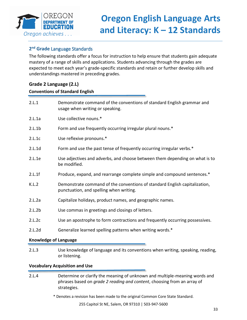

# <span id="page-33-0"></span>**2nd Grade** Language Standards

 The following standards offer a focus for instruction to help ensure that students gain adequate mastery of a range of skills and applications. Students advancing through the grades are expected to meet each year's grade-specific standards and retain or further develop skills and understandings mastered in preceding grades.

# **Grade 2 Language (2.L)**

#### **Conventions of Standard English**

| Demonstrate command of the conventions of standard English grammar and<br>usage when writing or speaking.             |
|-----------------------------------------------------------------------------------------------------------------------|
| Use collective nouns.*                                                                                                |
| Form and use frequently occurring irregular plural nouns.*                                                            |
| Use reflexive pronouns.*                                                                                              |
| Form and use the past tense of frequently occurring irregular verbs.*                                                 |
| Use adjectives and adverbs, and choose between them depending on what is to<br>be modified.                           |
| Produce, expand, and rearrange complete simple and compound sentences.*                                               |
| Demonstrate command of the conventions of standard English capitalization,<br>punctuation, and spelling when writing. |
| Capitalize holidays, product names, and geographic names.                                                             |
| Use commas in greetings and closings of letters.                                                                      |
| Use an apostrophe to form contractions and frequently occurring possessives.                                          |
| Generalize learned spelling patterns when writing words.*                                                             |
|                                                                                                                       |

#### **Knowledge of Language**

2.L.3 Use knowledge of language and its conventions when writing, speaking, reading, or listening.

#### **Vocabulary Acquisition and Use**

 2.L.4 Determine or clarify the meaning of unknown and multiple-meaning words and phrases based on *grade 2 reading and content*, choosing from an array of strategies.

\* Denotes a revision has been made to the original Common Core State Standard.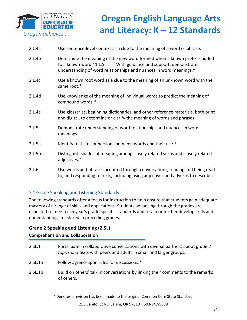

- 2.L.4a Use sentence-level context as a clue to the meaning of a word or phrase.
- 2.L.4b Determine the meaning of the new word formed when a known prefix is added to a known word.\*1.L.5 With guidance and support, demonstrate understanding of word relationships and nuances in word meanings.\*
- 2.L.4c Use a known root word as a clue to the meaning of an unknown word with the same root.\*
- 2.L.4d Use knowledge of the meaning of individual words to predict the meaning of compound words.\*
- and digital, to determine or clarify the meaning of words and phrases. 2.L.4e Use glossaries, beginning dictionaries, and other reference materials, both print
- 2.L.5 Demonstrate understanding of word relationships and nuances in word meanings.
- 2.L.5a Identify real-life connections between words and their use.\*
- 2.L.5b Distinguish shades of meaning among closely related verbs and closely related adjectives.\*
- to, and responding to texts, including using adjectives and adverbs to describe. 2.L.6 Use words and phrases acquired through conversations, reading and being read

# <span id="page-34-0"></span>2<sup>nd</sup> Grade Speaking and Listening Standards

The following standards offer a focus for instruction to help ensure that students gain adequate mastery of a range of skills and applications. Students advancing through the grades are expected to meet each year's grade-specific standards and retain or further develop skills and understandings mastered in preceding grades.

### **Grade 2 Speaking and Listening (2.SL)**

#### **Comprehension and Collaboration**

| 2.SL.1  | Participate in collaborative conversations with diverse partners about grade 2<br>topics and texts with peers and adults in small and larger groups. |
|---------|------------------------------------------------------------------------------------------------------------------------------------------------------|
| 2.SL.1a | Follow agreed-upon rules for discussions.*                                                                                                           |
| 2.SL.1b | Build on others' talk in conversations by linking their comments to the remarks<br>of others.                                                        |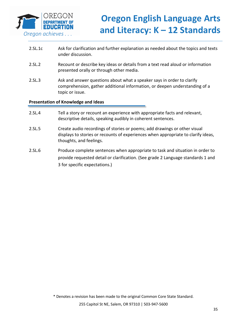

- 2.SL.1c Ask for clarification and further explanation as needed about the topics and texts under discussion.
- 2.SL.2 Recount or describe key ideas or details from a text read aloud or information presented orally or through other media.
- 2.SL.3 Ask and answer questions about what a speaker says in order to clarify comprehension, gather additional information, or deepen understanding of a topic or issue.

#### **Presentation of Knowledge and Ideas**

- 2.SL.4 Tell a story or recount an experience with appropriate facts and relevant, descriptive details, speaking audibly in coherent sentences.
- 2.SL.5 Create audio recordings of stories or poems; add drawings or other visual displays to stories or recounts of experiences when appropriate to clarify ideas, thoughts, and feelings.
- 2.SL.6 Produce complete sentences when appropriate to task and situation in order to provide requested detail or clarification. (See grade 2 Language standards 1 and 3 for specific expectations.)

<sup>\*</sup> Denotes a revision has been made to the original Common Core State Standard.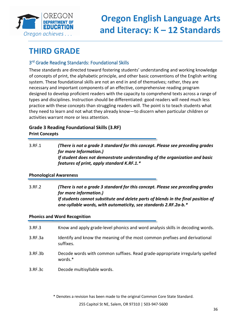

# **THIRD GRADE**

# 3<sup>rd</sup> Grade Reading Standards: Foundational Skills

 system. These foundational skills are not an end in and of themselves; rather, they are practice with these concepts than struggling readers will. The point is to teach students what These standards are directed toward fostering students' understanding and working knowledge of concepts of print, the alphabetic principle, and other basic conventions of the English writing necessary and important components of an effective, comprehensive reading program designed to develop proficient readers with the capacity to comprehend texts across a range of types and disciplines. Instruction should be differentiated: good readers will need much less they need to learn and not what they already know—to discern when particular children or activities warrant more or less attention.

# **Grade 3 Reading Foundational Skills (3.RF)**

**Print Concepts** 

 $3.RF.1$  *If student does not demonstrate understanding of the organization and basic*  (There is not a grade 3 standard for this concept. Please see preceding grades *for more Information.) features of print, apply standard K.RF.1.\** 

# **Phonological Awareness**

3.RF.2  *one-syllable words, with automaticity, see standards 2.RF.2a-b.\**  3.RF.2 *(There is not a grade 3 standard for this concept. Please see preceding grades for more information.) If students cannot substitute and delete parts of blends in the final position of* 

# **Phonics and Word Recognition**

3.RF.3 Know and apply grade-level phonics and word analysis skills in decoding words. 3.RF.3a Identify and know the meaning of the most common prefixes and derivational suffixes. 3.RF.3b Decode words with common suffixes. Read grade-appropriate irregularly spelled words.\* 3.RF.3c Decode multisyllable words.

\* Denotes a revision has been made to the original Common Core State Standard.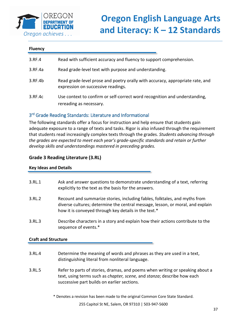

#### **Fluency**

| 3.RF.4  | Read with sufficient accuracy and fluency to support comprehension.                                                 |
|---------|---------------------------------------------------------------------------------------------------------------------|
| 3.RF.4a | Read grade-level text with purpose and understanding.                                                               |
| 3.RF.4b | Read grade-level prose and poetry orally with accuracy, appropriate rate, and<br>expression on successive readings. |
| 3.RF.4c | Use context to confirm or self-correct word recognition and understanding,<br>rereading as necessary.               |

# 3<sup>rd</sup> Grade Reading Standards: Literature and Informational

 The following standards offer a focus for instruction and help ensure that students gain adequate exposure to a range of texts and tasks. Rigor is also infused through the requirement that students read increasingly complex texts through the grades. *Students advancing through the grades are expected to meet each year's grade-specific standards and retain or further develop skills and understandings mastered in preceding grades.* 

# **Grade 3 Reading Literature (3.RL)**

#### **Key Ideas and Details**

- explicitly to the text as the basis for the answers. 3.RL.1 Ask and answer questions to demonstrate understanding of a text, referring
- 3.RL.2 Recount and summarize stories, including fables, folktales, and myths from diverse cultures; determine the central message, lesson, or moral, and explain how it is conveyed through key details in the text.\*
- 3.RL.3 Describe characters in a story and explain how their actions contribute to the sequence of events.\*

# **Craft and Structure**

- 3.RL.4 Determine the meaning of words and phrases as they are used in a text, distinguishing literal from nonliteral language.
- 3.RL.5 Refer to parts of stories, dramas, and poems when writing or speaking about a text, using terms such as *chapter, scene,* and *stanza*; describe how each successive part builds on earlier sections.

\* Denotes a revision has been made to the original Common Core State Standard.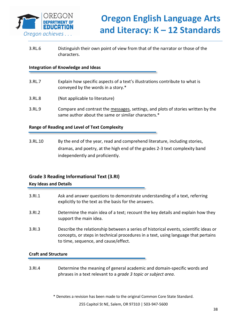

 3.RL.6 Distinguish their own point of view from that of the narrator or those of the characters.

#### **Integration of Knowledge and Ideas**

- 3.RL.7 Explain how specific aspects of a text's illustrations contribute to what is conveyed by the words in a story.\*
- 3.RL.8 (Not applicable to literature)
- 3.RL.9 Compare and contrast the messages, settings, and plots of stories written by the same author about the same or similar characters.\*

#### **Range of Reading and Level of Text Complexity**

3.RL.10 By the end of the year, read and comprehend literature, including stories, dramas, and poetry, at the high end of the grades 2-3 text complexity band independently and proficiently.

# **Grade 3 Reading Informational Text (3.RI)**

#### **Key Ideas and Details**

- explicitly to the text as the basis for the answers. 3.RI.1 Ask and answer questions to demonstrate understanding of a text, referring
- 3.RI.2 Determine the main idea of a text; recount the key details and explain how they support the main idea.
- 3.RI.3 Describe the relationship between a series of historical events, scientific ideas or concepts, or steps in technical procedures in a text, using language that pertains to time, sequence, and cause/effect.

#### **Craft and Structure**

3.RI.4 Determine the meaning of general academic and domain-specific words and phrases in a text relevant to a *grade 3 topic or subject area*.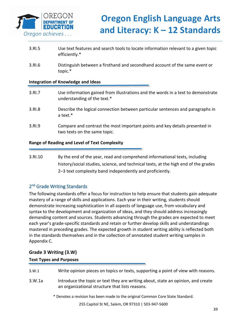

- 3.RI.5 Use text features and search tools to locate information relevant to a given topic efficiently.\*
- 3.RI.6 Distinguish between a firsthand and secondhand account of the same event or topic.\*

#### **Integration of Knowledge and Ideas**

 3.RI.9 Compare and contrast the most important points and key details presented in 3.RI.7 Use information gained from illustrations and the words in a text to demonstrate understanding of the text.\* 3.RI.8 Describe the logical connection between particular sentences and paragraphs in a text.\* two texts on the same topic.

#### **Range of Reading and Level of Text Complexity**

 3.RI.10 By the end of the year, read and comprehend informational texts, including history/social studies, science, and technical texts, at the high end of the grades 2–3 text complexity band independently and proficiently.

# 2<sup>nd</sup> Grade Writing Standards

 The following standards offer a focus for instruction to help ensure that students gain adequate mastery of a range of skills and applications. Each year in their writing, students should demonstrate increasing sophistication in all aspects of language use, from vocabulary and syntax to the development and organization of ideas, and they should address increasingly demanding content and sources. Students advancing through the grades are expected to meet each year's grade-specific standards and retain or further develop skills and understandings mastered in preceding grades. The expected growth in student writing ability is reflected both in the standards themselves and in the collection of annotated student writing samples in Appendix C.

# **Grade 3 Writing (3.W)**

#### **Text Types and Purposes**

- 3.W.1 Write opinion pieces on topics or texts, supporting a point of view with reasons.
- 3.W.1a Introduce the topic or text they are writing about, state an opinion, and create an organizational structure that lists reasons.

\* Denotes a revision has been made to the original Common Core State Standard.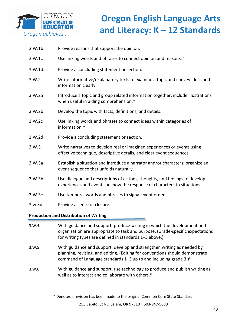

| 3.W.1b | Provide reasons that support the opinion.                                                                                                               |
|--------|---------------------------------------------------------------------------------------------------------------------------------------------------------|
| 3.W.1c | Use linking words and phrases to connect opinion and reasons.*                                                                                          |
| 3.W.1d | Provide a concluding statement or section.                                                                                                              |
| 3.W.2  | Write informative/explanatory texts to examine a topic and convey ideas and<br>information clearly.                                                     |
| 3.W.2a | Introduce a topic and group related information together; include illustrations<br>when useful in aiding comprehension.*                                |
| 3.W.2b | Develop the topic with facts, definitions, and details.                                                                                                 |
| 3.W.2c | Use linking words and phrases to connect ideas within categories of<br>information.*                                                                    |
| 3.W.2d | Provide a concluding statement or section.                                                                                                              |
| 3.W.3  | Write narratives to develop real or imagined experiences or events using<br>effective technique, descriptive details, and clear event sequences.        |
| 3.W.3a | Establish a situation and introduce a narrator and/or characters; organize an<br>event sequence that unfolds naturally.                                 |
| 3.W.3b | Use dialogue and descriptions of actions, thoughts, and feelings to develop<br>experiences and events or show the response of characters to situations. |
| 3.W.3c | Use temporal words and phrases to signal event order.                                                                                                   |
| 3.w.3d | Provide a sense of closure.                                                                                                                             |
|        |                                                                                                                                                         |

#### **Production and Distribution of Writing**

- organization are appropriate to task and purpose. (Grade-specific expectations 3.W.4 With guidance and support, produce writing in which the development and for writing types are defined in standards 1–3 above.)
- 3.W.5 With guidance and support, develop and strengthen writing as needed by planning, revising, and editing. (Editing for conventions should demonstrate command of Language standards 1–3 up to and including grade 3.)\*
- 3.W.6 With guidance and support, use technology to produce and publish writing as well as to interact and collaborate with others.\*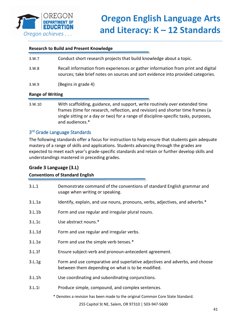

#### **Research to Build and Present Knowledge**

| 3.W.7  | Conduct short research projects that build knowledge about a topic.                                                                                                  |
|--------|----------------------------------------------------------------------------------------------------------------------------------------------------------------------|
| 3.W.8  | Recall information from experiences or gather information from print and digital<br>sources; take brief notes on sources and sort evidence into provided categories. |
| 3. W.9 | (Begins in grade 4)                                                                                                                                                  |

#### **Range of Writing**

 single sitting or a day or two) for a range of discipline-specific tasks, purposes, 3.W.10 With scaffolding, guidance, and support, write routinely over extended time frames (time for research, reflection, and revision) and shorter time frames (a and audiences.\*

# 3rd Grade Language Standards

 The following standards offer a focus for instruction to help ensure that students gain adequate mastery of a range of skills and applications. Students advancing through the grades are expected to meet each year's grade-specific standards and retain or further develop skills and understandings mastered in preceding grades.

# **Grade 3 Language (3.L)**

| <b>Conventions of Standard English</b> |                                                                                                                                  |
|----------------------------------------|----------------------------------------------------------------------------------------------------------------------------------|
| 3.L.1                                  | Demonstrate command of the conventions of standard English grammar and<br>usage when writing or speaking.                        |
| 3.L.1a                                 | Identify, explain, and use nouns, pronouns, verbs, adjectives, and adverbs.*                                                     |
| 3.L.1b                                 | Form and use regular and irregular plural nouns.                                                                                 |
| 3.L.1c                                 | Use abstract nouns.*                                                                                                             |
| 3.L.1d                                 | Form and use regular and irregular verbs.                                                                                        |
| 3.L.1e                                 | Form and use the simple verb tenses.*                                                                                            |
| 3.L.1f                                 | Ensure subject-verb and pronoun-antecedent agreement.                                                                            |
| 3.L.1g                                 | Form and use comparative and superlative adjectives and adverbs, and choose<br>between them depending on what is to be modified. |
| 3.L.1h                                 | Use coordinating and subordinating conjunctions.                                                                                 |
| 3.L.1i                                 | Produce simple, compound, and complex sentences.                                                                                 |
|                                        | * Denotes a revision has been made to the original Common Core State Standard.                                                   |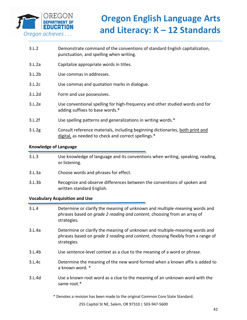

| 3.L.2  | Demonstrate command of the conventions of standard English capitalization,<br>punctuation, and spelling when writing.                |
|--------|--------------------------------------------------------------------------------------------------------------------------------------|
| 3.L.2a | Capitalize appropriate words in titles.                                                                                              |
| 3.L.2b | Use commas in addresses.                                                                                                             |
| 3.L.2c | Use commas and quotation marks in dialogue.                                                                                          |
| 3.L.2d | Form and use possessives.                                                                                                            |
| 3.L.2e | Use conventional spelling for high-frequency and other studied words and for<br>adding suffixes to base words.*                      |
| 3.L.2f | Use spelling patterns and generalizations in writing words.*                                                                         |
| 3.L.2g | Consult reference materials, including beginning dictionaries, both print and<br>digital, as needed to check and correct spellings.* |

### **Knowledge of Language**

- 3.L.3 Use knowledge of language and its conventions when writing, speaking, reading, or listening.
- 3.L.3a Choose words and phrases for effect.
- 3.L.3b Recognize and observe differences between the conventions of spoken and written standard English.

#### **Vocabulary Acquisition and Use**

- 3.L.4 Determine or clarify the meaning of unknown and multiple-meaning words and phrases based on *grade 2 reading and content*, choosing from an array of strategies.
- 3.L.4a Determine or clarify the meaning of unknown and multiple-meaning words and phrases based on *grade 3 reading and content*, choosing flexibly from a range of strategies.
- 3.L.4b Use sentence-level context as a clue to the meaning of a word or phrase.
- 3.L.4c Determine the meaning of the new word formed when a known affix is added to a known word. \*
- 3.L.4d Use a known root word as a clue to the meaning of an unknown word with the same root.\*

\* Denotes a revision has been made to the original Common Core State Standard.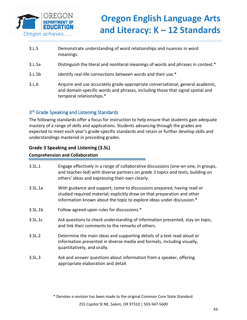

- 3.L.5 Demonstrate understanding of word relationships and nuances in word meanings. 3.L.5a Distinguish the literal and nonliteral meanings of words and phrases in context.\*
- 3.L.5b Identify real-life connections between words and their use.\*
- 3.L.6 Acquire and use accurately grade-appropriate conversational, general academic, and domain-specific words and phrases, including those that signal spatial and temporal relationships.\*

# 3<sup>rd</sup> Grade Speaking and Listening Standards

The following standards offer a focus for instruction to help ensure that students gain adequate mastery of a range of skills and applications. Students advancing through the grades are expected to meet each year's grade-specific standards and retain or further develop skills and understandings mastered in preceding grades.

# **Grade 3 Speaking and Listening (3.SL)**

### **Comprehension and Collaboration**

| 3.5L.1  | Engage effectively in a range of collaborative discussions (one-on-one, in groups,<br>and teacher-led) with diverse partners on grade 3 topics and texts, building on<br>others' ideas and expressing their own clearly.     |
|---------|------------------------------------------------------------------------------------------------------------------------------------------------------------------------------------------------------------------------------|
| 3.5L.1a | With guidance and support, come to discussions prepared, having read or<br>studied required material; explicitly draw on that preparation and other<br>information known about the topic to explore ideas under discussion.* |
| 3.5L.1b | Follow agreed-upon rules for discussions.*                                                                                                                                                                                   |
| 3.5L.1c | Ask questions to check understanding of information presented, stay on topic,<br>and link their comments to the remarks of others.                                                                                           |
| 3.SL.2  | Determine the main ideas and supporting details of a text read aloud or<br>information presented in diverse media and formats, including visually,<br>quantitatively, and orally.                                            |
| 3.5L.3  | Ask and answer questions about information from a speaker, offering<br>appropriate elaboration and detail.                                                                                                                   |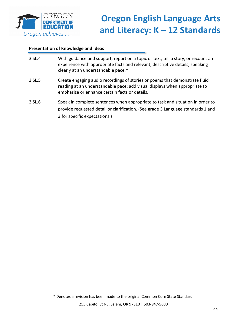

#### **Presentation of Knowledge and Ideas**

- 3.SL.4 With guidance and support, report on a topic or text, tell a story, or recount an experience with appropriate facts and relevant, descriptive details, speaking clearly at an understandable pace.\*
- 3.SL.5 Create engaging audio recordings of stories or poems that demonstrate fluid reading at an understandable pace; add visual displays when appropriate to emphasize or enhance certain facts or details.
- 3.SL.6 Speak in complete sentences when appropriate to task and situation in order to provide requested detail or clarification. (See grade 3 Language standards 1 and 3 for specific expectations.)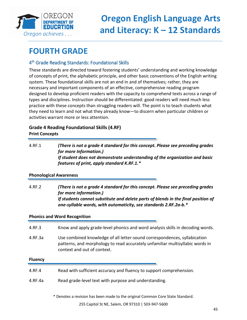

# **FOURTH GRADE**

# 4th Grade Reading Standards: Foundational Skills

 system. These foundational skills are not an end in and of themselves; rather, they are practice with these concepts than struggling readers will. The point is to teach students what These standards are directed toward fostering students' understanding and working knowledge of concepts of print, the alphabetic principle, and other basic conventions of the English writing necessary and important components of an effective, comprehensive reading program designed to develop proficient readers with the capacity to comprehend texts across a range of types and disciplines. Instruction should be differentiated: good readers will need much less they need to learn and not what they already know—to discern when particular children or activities warrant more or less attention.

# **Grade 4 Reading Foundational Skills (4.RF)**

**Print Concepts** 

4.RF.1  *If student does not demonstrate understanding of the organization and basic*  (There is not a grade 4 standard for this concept. Please see preceding grades *for more Information.) features of print, apply standard K.RF.1.\** 

# **Phonological Awareness**

4.RF.2 4.RF.2 *(There is not a grade 4 standard for this concept. Please see preceding grades for more information.) If students cannot substitute and delete parts of blends in the final position of one-syllable words, with automaticity, see standards 2.RF.2a-b.\** 

# **Phonics and Word Recognition**

| 4.RF.3         | Know and apply grade-level phonics and word analysis skills in decoding words.                                                                                                            |
|----------------|-------------------------------------------------------------------------------------------------------------------------------------------------------------------------------------------|
| 4.RF.3a        | Use combined knowledge of all letter-sound correspondences, syllabication<br>patterns, and morphology to read accurately unfamiliar multisyllabic words in<br>context and out of context. |
| <b>Fluency</b> |                                                                                                                                                                                           |
|                |                                                                                                                                                                                           |
| 4.RF.4         | Read with sufficient accuracy and fluency to support comprehension.                                                                                                                       |
| 4.RF.4a        | Read grade-level text with purpose and understanding.                                                                                                                                     |

\* Denotes a revision has been made to the original Common Core State Standard.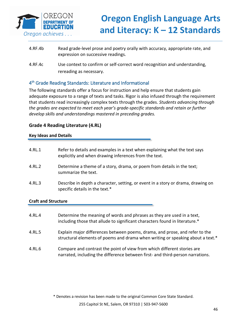

- 4.RF.4b Read grade-level prose and poetry orally with accuracy, appropriate rate, and expression on successive readings.
- 4.RF.4c Use context to confirm or self-correct word recognition and understanding, rereading as necessary.

# 4th Grade Reading Standards: Literature and Informational

 The following standards offer a focus for instruction and help ensure that students gain adequate exposure to a range of texts and tasks. Rigor is also infused through the requirement that students read increasingly complex texts through the grades. *Students advancing through the grades are expected to meet each year's grade-specific standards and retain or further develop skills and understandings mastered in preceding grades.* 

# **Grade 4 Reading Literature (4.RL)**

#### **Key Ideas and Details**

| 4.RL.1 | Refer to details and examples in a text when explaining what the text says<br>explicitly and when drawing inferences from the text. |
|--------|-------------------------------------------------------------------------------------------------------------------------------------|
| 4.RL.2 | Determine a theme of a story, drama, or poem from details in the text;<br>summarize the text.                                       |
| 4.RL.3 | Describe in depth a character, setting, or event in a story or drama, drawing on<br>specific details in the text.*                  |

#### **Craft and Structure**

| 4.RL.4 | Determine the meaning of words and phrases as they are used in a text,      |
|--------|-----------------------------------------------------------------------------|
|        | including those that allude to significant characters found in literature.* |

- 4.RL.5 Explain major differences between poems, drama, and prose, and refer to the structural elements of poems and drama when writing or speaking about a text.\*
- narrated, including the difference between first- and third-person narrations. 4.RL.6 Compare and contrast the point of view from which different stories are

\* Denotes a revision has been made to the original Common Core State Standard.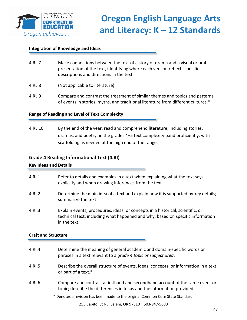

#### **Integration of Knowledge and Ideas**

- 4.RL.7 Make connections between the text of a story or drama and a visual or oral presentation of the text, identifying where each version reflects specific descriptions and directions in the text.
- 4.RL.8 (Not applicable to literature)
- 4.RL.9 Compare and contrast the treatment of similar themes and topics and patterns of events in stories, myths, and traditional literature from different cultures.\*

#### **Range of Reading and Level of Text Complexity**

 dramas, and poetry, in the grades 4–5 text complexity band proficiently, with scaffolding as needed at the high end of the range. 4.RL.10 By the end of the year, read and comprehend literature, including stories,

#### **Grade 4 Reading Informational Text (4.RI)**

#### **Key Ideas and Details**

- 4.RI.1 Refer to details and examples in a text when explaining what the text says explicitly and when drawing inferences from the text.
- 4.RI.2 Determine the main idea of a text and explain how it is supported by key details; summarize the text.
- 4.RI.3 Explain events, procedures, ideas, or concepts in a historical, scientific, or technical text, including what happened and why, based on specific information in the text.

#### **Craft and Structure**

- 4.RI.4 Determine the meaning of general academic and domain-specific words or phrases in a text relevant to a *grade 4 topic or subject area*.
- 4.RI.5 Describe the overall structure of events, ideas, concepts, or information in a text or part of a text.\*
- 4.RI.6 Compare and contrast a firsthand and secondhand account of the same event or topic; describe the differences in focus and the information provided.
	- \* Denotes a revision has been made to the original Common Core State Standard.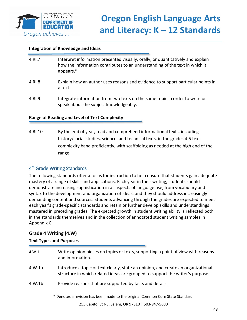

#### **Integration of Knowledge and Ideas**

| 4.RI.7 | Interpret information presented visually, orally, or quantitatively and explain<br>how the information contributes to an understanding of the text in which it<br>appears.* |
|--------|-----------------------------------------------------------------------------------------------------------------------------------------------------------------------------|
| 4.RI.8 | Explain how an author uses reasons and evidence to support particular points in<br>a text.                                                                                  |
| 4.RI.9 | Integrate information from two texts on the same topic in order to write or<br>speak about the subject knowledgeably.                                                       |

#### **Range of Reading and Level of Text Complexity**

 complexity band proficiently, with scaffolding as needed at the high end of the 4.RI.10 By the end of year, read and comprehend informational texts, including history/social studies, science, and technical texts, in the grades 4-5 text range.

# 4th Grade Writing Standards

 The following standards offer a focus for instruction to help ensure that students gain adequate mastery of a range of skills and applications. Each year in their writing, students should demonstrate increasing sophistication in all aspects of language use, from vocabulary and syntax to the development and organization of ideas, and they should address increasingly demanding content and sources. Students advancing through the grades are expected to meet each year's grade-specific standards and retain or further develop skills and understandings mastered in preceding grades. The expected growth in student writing ability is reflected both in the standards themselves and in the collection of annotated student writing samples in Appendix C.

# **Grade 4 Writing (4.W)**

| <b>Text Types and Purposes</b> |  |  |
|--------------------------------|--|--|
|--------------------------------|--|--|

| 4.W.1  | Write opinion pieces on topics or texts, supporting a point of view with reasons<br>and information.                                                               |
|--------|--------------------------------------------------------------------------------------------------------------------------------------------------------------------|
| 4.W.1a | Introduce a topic or text clearly, state an opinion, and create an organizational<br>structure in which related ideas are grouped to support the writer's purpose. |
| 4.W.1b | Provide reasons that are supported by facts and details.                                                                                                           |
|        | * Denotes a revision has been made to the original Common Core State Standard.<br>$255.04 \times 104.05.04 \times 0.02240$ $1502.047.500$                          |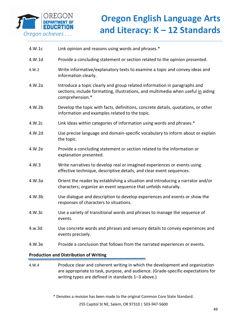

| 4.W.1c | Link opinion and reasons using words and phrases.*                                                                                                                                |
|--------|-----------------------------------------------------------------------------------------------------------------------------------------------------------------------------------|
| 4.W.1d | Provide a concluding statement or section related to the opinion presented.                                                                                                       |
| 4.W.2  | Write informative/explanatory texts to examine a topic and convey ideas and<br>information clearly.                                                                               |
| 4.W.2a | Introduce a topic clearly and group related information in paragraphs and<br>sections; include formatting, illustrations, and multimedia when useful in aiding<br>comprehension.* |
| 4.W.2b | Develop the topic with facts, definitions, concrete details, quotations, or other<br>information and examples related to the topic.                                               |
| 4.W.2c | Link ideas within categories of information using words and phrases.*                                                                                                             |
| 4.W.2d | Use precise language and domain-specific vocabulary to inform about or explain<br>the topic.                                                                                      |
| 4.W.2e | Provide a concluding statement or section related to the information or<br>explanation presented.                                                                                 |
| 4.W.3  | Write narratives to develop real or imagined experiences or events using<br>effective technique, descriptive details, and clear event sequences.                                  |
| 4.W.3a | Orient the reader by establishing a situation and introducing a narrator and/or<br>characters; organize an event sequence that unfolds naturally.                                 |
| 4.W.3b | Use dialogue and description to develop experiences and events or show the<br>responses of characters to situations.                                                              |
| 4.W.3c | Use a variety of transitional words and phrases to manage the sequence of<br>events.                                                                                              |
| 4.w.3d | Use concrete words and phrases and sensory details to convey experiences and<br>events precisely.                                                                                 |
| 4.W.3e | Provide a conclusion that follows from the narrated experiences or events.                                                                                                        |

#### **Production and Distribution of Writing**

 are appropriate to task, purpose, and audience. (Grade-specific expectations for writing types are defined in standards 1–3 above.) 4.W.4 Produce clear and coherent writing in which the development and organization

\* Denotes a revision has been made to the original Common Core State Standard.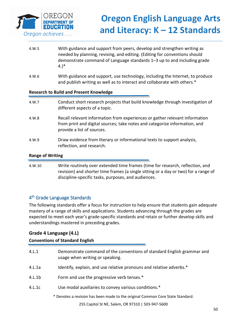

- needed by planning, revising, and editing. (Editing for conventions should 4.W.5 With guidance and support from peers, develop and strengthen writing as demonstrate command of Language standards 1–3 up to and including grade 4.)\*
- 4.W.6 With guidance and support, use technology, including the Internet, to produce and publish writing as well as to interact and collaborate with others.\*

#### **Research to Build and Present Knowledge**

| 4.W.7                   | Conduct short research projects that build knowledge through investigation of<br>different aspects of a topic.                                                                          |
|-------------------------|-----------------------------------------------------------------------------------------------------------------------------------------------------------------------------------------|
| 4.W.8                   | Recall relevant information from experiences or gather relevant information<br>from print and digital sources; take notes and categorize information, and<br>provide a list of sources. |
| 4.W.9                   | Draw evidence from literary or informational texts to support analysis,<br>reflection, and research.                                                                                    |
| <b>Range of Writing</b> |                                                                                                                                                                                         |

- 4.W.10 Write routinely over extended time frames (time for research, reflection, and
- revision) and shorter time frames (a single sitting or a day or two) for a range of discipline-specific tasks, purposes, and audiences.

# 4th Grade Language Standards

 The following standards offer a focus for instruction to help ensure that students gain adequate mastery of a range of skills and applications. Students advancing through the grades are expected to meet each year's grade-specific standards and retain or further develop skills and understandings mastered in preceding grades.

# **Grade 4 Language (4.L)**

| Grade 4 Language (4.L)<br><b>Conventions of Standard English</b> |                                                                                                           |
|------------------------------------------------------------------|-----------------------------------------------------------------------------------------------------------|
| 4.L.1                                                            | Demonstrate command of the conventions of standard English grammar and<br>usage when writing or speaking. |
| 4.L.1a                                                           | Identify, explain, and use relative pronouns and relative adverbs.*                                       |
| 4.L.1b                                                           | Form and use the progressive verb tenses.*                                                                |
| 4.L.1c                                                           | Use modal auxiliaries to convey various conditions.*                                                      |
|                                                                  | * Denotes a revision has been made to the original Common Core State Standard.                            |
|                                                                  | 255 Capitol St NE, Salem, OR 97310   503-947-5600                                                         |
|                                                                  |                                                                                                           |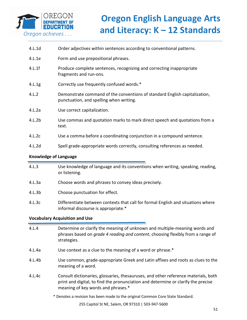

| 4.L.1d | Order adjectives within sentences according to conventional patterns.                                                 |
|--------|-----------------------------------------------------------------------------------------------------------------------|
| 4.L.1e | Form and use prepositional phrases.                                                                                   |
| 4.L.1f | Produce complete sentences, recognizing and correcting inappropriate<br>fragments and run-ons.                        |
| 4.L.1g | Correctly use frequently confused words.*                                                                             |
| 4.L.2  | Demonstrate command of the conventions of standard English capitalization,<br>punctuation, and spelling when writing. |
| 4.L.2a | Use correct capitalization.                                                                                           |
| 4.L.2b | Use commas and quotation marks to mark direct speech and quotations from a<br>text.                                   |
| 4.L.2c | Use a comma before a coordinating conjunction in a compound sentence.                                                 |
| 4.L.2d | Spell grade-appropriate words correctly, consulting references as needed.                                             |
|        |                                                                                                                       |

#### **Knowledge of Language**

- 4.L.3 Use knowledge of language and its conventions when writing, speaking, reading, or listening.
- 4.L.3a Choose words and phrases to convey ideas precisely.
- 4.L.3b Choose punctuation for effect.
- 4.L.3c Differentiate between contexts that call for formal English and situations where informal discourse is appropriate.\*

#### **Vocabulary Acquisition and Use**

- 4.L.4 Determine or clarify the meaning of unknown and multiple-meaning words and phrases based on *grade 4 reading and content*, choosing flexibly from a range of strategies.
- 4.L.4a Use context as a clue to the meaning of a word or phrase.\*
- 4.L.4b Use common, grade-appropriate Greek and Latin affixes and roots as clues to the meaning of a word.
- 4.L.4c Consult dictionaries, glossaries, thesauruses, and other reference materials, both print and digital, to find the pronunciation and determine or clarify the precise meaning of key words and phrases.\*
	- \* Denotes a revision has been made to the original Common Core State Standard.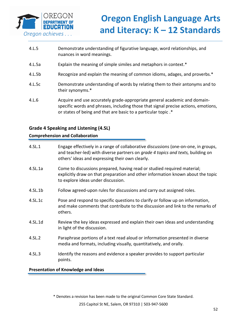

- 4.L.5 Demonstrate understanding of figurative language, word relationships, and nuances in word meanings.
- 4.L.5a Explain the meaning of simple similes and metaphors in context.\*
- 4.L.5b Recognize and explain the meaning of common idioms, adages, and proverbs.\*
- 4.L.5c Demonstrate understanding of words by relating them to their antonyms and to their synonyms.\*
- specific words and phrases, including those that signal precise actions, emotions, or states of being and that are basic to a particular topic .\* 4.L.6 Acquire and use accurately grade-appropriate general academic and domain-

# **Grade 4 Speaking and Listening (4.SL)**

#### **Comprehension and Collaboration**

| 4.SL.1                                     | Engage effectively in a range of collaborative discussions (one-on-one, in groups,                                                                                                               |
|--------------------------------------------|--------------------------------------------------------------------------------------------------------------------------------------------------------------------------------------------------|
|                                            | and teacher-led) with diverse partners on grade 4 topics and texts, building on<br>others' ideas and expressing their own clearly.                                                               |
| 4.5L.1a                                    | Come to discussions prepared, having read or studied required material;<br>explicitly draw on that preparation and other information known about the topic<br>to explore ideas under discussion. |
| 4.5L.1b                                    | Follow agreed-upon rules for discussions and carry out assigned roles.                                                                                                                           |
| 4.5L.1c                                    | Pose and respond to specific questions to clarify or follow up on information,<br>and make comments that contribute to the discussion and link to the remarks of<br>others.                      |
| 4.SL.1d                                    | Review the key ideas expressed and explain their own ideas and understanding<br>in light of the discussion.                                                                                      |
| 4.SL.2                                     | Paraphrase portions of a text read aloud or information presented in diverse<br>media and formats, including visually, quantitatively, and orally.                                               |
| 4.SL.3                                     | Identify the reasons and evidence a speaker provides to support particular<br>points.                                                                                                            |
| <b>Presentation of Knowledge and Ideas</b> |                                                                                                                                                                                                  |

\* Denotes a revision has been made to the original Common Core State Standard.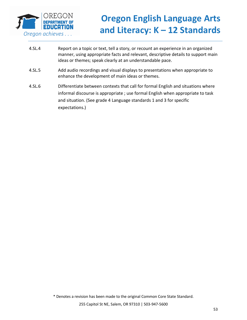

- manner, using appropriate facts and relevant, descriptive details to support main 4.SL.4 Report on a topic or text, tell a story, or recount an experience in an organized ideas or themes; speak clearly at an understandable pace.
- 4.SL.5 Add audio recordings and visual displays to presentations when appropriate to enhance the development of main ideas or themes.
- informal discourse is appropriate ; use formal English when appropriate to task and situation. (See grade 4 Language standards 1 and 3 for specific 4.SL.6 Differentiate between contexts that call for formal English and situations where expectations.)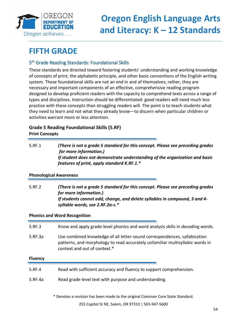

# **FIFTH GRADE**

# 5<sup>th</sup> Grade Reading Standards: Foundational Skills

 system. These foundational skills are not an end in and of themselves; rather, they are These standards are directed toward fostering students' understanding and working knowledge of concepts of print, the alphabetic principle, and other basic conventions of the English writing necessary and important components of an effective, comprehensive reading program designed to develop proficient readers with the capacity to comprehend texts across a range of types and disciplines. Instruction should be differentiated: good readers will need much less practice with these concepts than struggling readers will. The point is to teach students what they need to learn and not what they already know—to discern when particular children or activities warrant more or less attention.

# **Grade 5 Reading Foundational Skills (5.RF)**

**Print Concepts** 

5.RF.1  *for more information.) If student does not demonstrate understanding of the organization and basic*  5.RF.1 *(There is not a grade 5 standard for this concept. Please see preceding grades features of print, apply standard K.RF.1.\** 

# **Phonological Awareness**

5.RF.2 5.RF.2 *(There is not a grade 5 standard for this concept. Please see preceding grades for more information.) If students cannot add, change, and delete syllables in compound, 3 and 4 syllable words, see 2.RF.2a-c.\** 

# **Phonics and Word Recognition**

| 5.RF.3         | Know and apply grade-level phonics and word analysis skills in decoding words.                                                                                                             |
|----------------|--------------------------------------------------------------------------------------------------------------------------------------------------------------------------------------------|
| 5.RF.3a        | Use combined knowledge of all letter-sound correspondences, syllabication<br>patterns, and morphology to read accurately unfamiliar multisyllabic words in<br>context and out of context.* |
| <b>Fluency</b> |                                                                                                                                                                                            |
| 5.RF.4         | Read with sufficient accuracy and fluency to support comprehension.                                                                                                                        |
| 5.RF.4a        | Read grade-level text with purpose and understanding.                                                                                                                                      |
|                |                                                                                                                                                                                            |

\* Denotes a revision has been made to the original Common Core State Standard.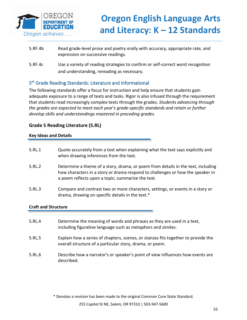

- 5.RF.4b Read grade-level prose and poetry orally with accuracy, appropriate rate, and expression on successive readings.
- and understanding, rereading as necessary. 5.RF.4c Use a variety of reading strategies to confirm or self-correct word recognition

# 5<sup>th</sup> Grade Reading Standards: Literature and Informational

 The following standards offer a focus for instruction and help ensure that students gain adequate exposure to a range of texts and tasks. Rigor is also infused through the requirement that students read increasingly complex texts through the grades. *Students advancing through the grades are expected to meet each year's grade-specific standards and retain or further develop skills and understandings mastered in preceding grades.* 

# **Grade 5 Reading Literature (5.RL)**

#### **Key Ideas and Details**

| 5.RL.1                     | Quote accurately from a text when explaining what the text says explicitly and<br>when drawing inferences from the text.                                                                                                |
|----------------------------|-------------------------------------------------------------------------------------------------------------------------------------------------------------------------------------------------------------------------|
| 5.RL.2                     | Determine a theme of a story, drama, or poem from details in the text, including<br>how characters in a story or drama respond to challenges or how the speaker in<br>a poem reflects upon a topic; summarize the text. |
| 5.RL.3                     | Compare and contrast two or more characters, settings, or events in a story or<br>drama, drawing on specific details in the text.*                                                                                      |
| <b>Craft and Structure</b> |                                                                                                                                                                                                                         |

# **Craft and Structure**

- 5.RL.4 Determine the meaning of words and phrases as they are used in a text, including figurative language such as metaphors and similes.
- 5.RL.5 Explain how a series of chapters, scenes, or stanzas fits together to provide the overall structure of a particular story, drama, or poem.
- 5.RL.6 Describe how a narrator's or speaker's point of view influences how events are described.

\* Denotes a revision has been made to the original Common Core State Standard.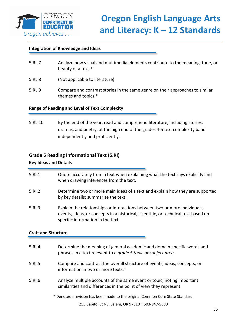

#### **Integration of Knowledge and Ideas**

| 5.RL.7 | Analyze how visual and multimedia elements contribute to the meaning, tone, or<br>beauty of a text.* |
|--------|------------------------------------------------------------------------------------------------------|
| 5.RL.8 | (Not applicable to literature)                                                                       |
| 5.RL.9 | Compare and contrast stories in the same genre on their approaches to similar<br>themes and topics.* |

#### **Range of Reading and Level of Text Complexity**

5.RL.10 By the end of the year, read and comprehend literature, including stories, dramas, and poetry, at the high end of the grades 4-5 text complexity band independently and proficiently.

### **Grade 5 Reading Informational Text (5.RI)**

#### **Key Ideas and Details**

| 5.RI.1 | Quote accurately from a text when explaining what the text says explicitly and<br>when drawing inferences from the text.                                                                              |
|--------|-------------------------------------------------------------------------------------------------------------------------------------------------------------------------------------------------------|
| 5.RI.2 | Determine two or more main ideas of a text and explain how they are supported<br>by key details; summarize the text.                                                                                  |
| 5.RI.3 | Explain the relationships or interactions between two or more individuals,<br>events, ideas, or concepts in a historical, scientific, or technical text based on<br>specific information in the text. |

#### **Craft and Structure**

| 5.RI.4 | Determine the meaning of general academic and domain-specific words and<br>phrases in a text relevant to a grade 5 topic or subject area.   |
|--------|---------------------------------------------------------------------------------------------------------------------------------------------|
| 5.RI.5 | Compare and contrast the overall structure of events, ideas, concepts, or<br>information in two or more texts.*                             |
| 5.RI.6 | Analyze multiple accounts of the same event or topic, noting important<br>similarities and differences in the point of view they represent. |
|        | * Denotes a revision has been made to the original Common Core State Standard.                                                              |
|        | 255 Capitol St NE, Salem, OR 97310   503-947-5600                                                                                           |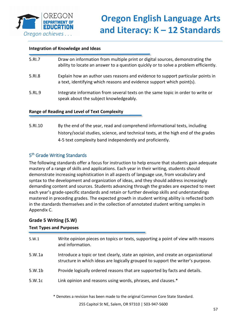

#### **Integration of Knowledge and Ideas**

| 5.RI.7 | Draw on information from multiple print or digital sources, demonstrating the<br>ability to locate an answer to a question quickly or to solve a problem efficiently. |
|--------|-----------------------------------------------------------------------------------------------------------------------------------------------------------------------|
| 5.RI.8 | Explain how an author uses reasons and evidence to support particular points in<br>a text, identifying which reasons and evidence support which point(s).             |
| 5.RL.9 | Integrate information from several texts on the same topic in order to write or<br>speak about the subject knowledgeably.                                             |

#### **Range of Reading and Level of Text Complexity**

5.RI.10 By the end of the year, read and comprehend informational texts, including history/social studies, science, and technical texts, at the high end of the grades 4-5 text complexity band independently and proficiently.

# 5<sup>th</sup> Grade Writing Standards

 The following standards offer a focus for instruction to help ensure that students gain adequate mastery of a range of skills and applications. Each year in their writing, students should demonstrate increasing sophistication in all aspects of language use, from vocabulary and syntax to the development and organization of ideas, and they should address increasingly demanding content and sources. Students advancing through the grades are expected to meet each year's grade-specific standards and retain or further develop skills and understandings mastered in preceding grades. The expected growth in student writing ability is reflected both in the standards themselves and in the collection of annotated student writing samples in Appendix C.

# **Grade 5 Writing (5.W)**

#### **Text Types and Purposes**

 5.W.1 Write opinion pieces on topics or texts, supporting a point of view with reasons 5.W.1a Introduce a topic or text clearly, state an opinion, and create an organizational  $5.W.1c$ and information. structure in which ideas are logically grouped to support the writer's purpose. 5.W.1b Provide logically ordered reasons that are supported by facts and details. Link opinion and reasons using words, phrases, and clauses. $*$ 

\* Denotes a revision has been made to the original Common Core State Standard.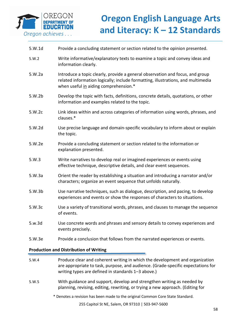

- 5.W.2b Develop the topic with facts, definitions, concrete details, quotations, or other 5.W.2d Use precise language and domain-specific vocabulary to inform about or explain 5.W.3 Write narratives to develop real or imagined experiences or events using effective technique, descriptive details, and clear event sequences. experiences and events or show the responses of characters to situations. 5.W.1d Provide a concluding statement or section related to the opinion presented. 5.W.2 Write informative/explanatory texts to examine a topic and convey ideas and information clearly. 5.W.2a Introduce a topic clearly, provide a general observation and focus, and group related information logically; include formatting, illustrations, and multimedia when useful in aiding comprehension.\* information and examples related to the topic. 5.W.2c Link ideas within and across categories of information using words, phrases, and clauses.\* the topic. 5.W.2e Provide a concluding statement or section related to the information or explanation presented. 5.W.3a Orient the reader by establishing a situation and introducing a narrator and/or characters; organize an event sequence that unfolds naturally. 5.W.3b Use narrative techniques, such as dialogue, description, and pacing, to develop 5.W.3c Use a variety of transitional words, phrases, and clauses to manage the sequence of events. 5.w.3d Use concrete words and phrases and sensory details to convey experiences and events precisely. 5.W.3e Provide a conclusion that follows from the narrated experiences or events. **Production and Distribution of Writing**
- are appropriate to task, purpose, and audience. (Grade-specific expectations for writing types are defined in standards 1–3 above.) 5.W.4 Produce clear and coherent writing in which the development and organization
- planning, revising, editing, rewriting, or trying a new approach. (Editing for 5.W.5 With guidance and support, develop and strengthen writing as needed by
	- \* Denotes a revision has been made to the original Common Core State Standard.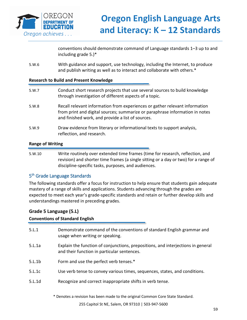

conventions should demonstrate command of Language standards 1–3 up to and including grade 5.)\*

 5.W.6 With guidance and support, use technology, including the Internet, to produce and publish writing as well as to interact and collaborate with others.\*

#### **Research to Build and Present Knowledge**

reflection, and research.

| 5.W.7 | Conduct short research projects that use several sources to build knowledge<br>through investigation of different aspects of a topic.                                                                            |
|-------|------------------------------------------------------------------------------------------------------------------------------------------------------------------------------------------------------------------|
| 5.W.8 | Recall relevant information from experiences or gather relevant information<br>from print and digital sources; summarize or paraphrase information in notes<br>and finished work, and provide a list of sources. |
| 5.W.9 | Draw evidence from literary or informational texts to support analysis,                                                                                                                                          |

#### **Range of Writing**

 5.W.10 Write routinely over extended time frames (time for research, reflection, and revision) and shorter time frames (a single sitting or a day or two) for a range of discipline-specific tasks, purposes, and audiences.

# 5th Grade Language Standards

 The following standards offer a focus for instruction to help ensure that students gain adequate mastery of a range of skills and applications. Students advancing through the grades are expected to meet each year's grade-specific standards and retain or further develop skills and understandings mastered in preceding grades.

# **Grade 5 Language (5.L)**

#### **Conventions of Standard English**

| 5.L.1  | Demonstrate command of the conventions of standard English grammar and<br>usage when writing or speaking.                       |
|--------|---------------------------------------------------------------------------------------------------------------------------------|
| 5.L.1a | Explain the function of conjunctions, prepositions, and interjections in general<br>and their function in particular sentences. |
| 5.L.1b | Form and use the perfect verb tenses.*                                                                                          |
| 5.L.1c | Use verb tense to convey various times, sequences, states, and conditions.                                                      |
| 5.L.1d | Recognize and correct inappropriate shifts in verb tense.                                                                       |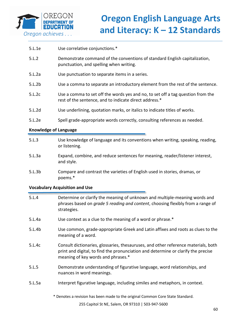

- 5.L.1e Use correlative conjunctions.\*
- 5.L.2 Demonstrate command of the conventions of standard English capitalization, punctuation, and spelling when writing.
- 5.L.2a Use punctuation to separate items in a series.
- 5.L.2b Use a comma to separate an introductory element from the rest of the sentence.
- 5.L.2c Use a comma to set off the words yes and no, to set off a tag question from the rest of the sentence, and to indicate direct address.\*
- 5.L.2d Use underlining, quotation marks, or italics to indicate titles of works.
- 5.L.2e Spell grade-appropriate words correctly, consulting references as needed.

#### **Knowledge of Language**

- 5.L.3a Expand, combine, and reduce sentences for meaning, reader/listener interest, 5.L.3 Use knowledge of language and its conventions when writing, speaking, reading, or listening. and style.
- 5.L.3b Compare and contrast the varieties of English used in stories, dramas, or poems.\*

#### **Vocabulary Acquisition and Use**

| 5.L.4  | Determine or clarify the meaning of unknown and multiple-meaning words and<br>phrases based on grade 5 reading and content, choosing flexibly from a range of<br>strategies.                                  |
|--------|---------------------------------------------------------------------------------------------------------------------------------------------------------------------------------------------------------------|
| 5.L.4a | Use context as a clue to the meaning of a word or phrase.*                                                                                                                                                    |
| 5.L.4b | Use common, grade-appropriate Greek and Latin affixes and roots as clues to the<br>meaning of a word.                                                                                                         |
| 5.L.4c | Consult dictionaries, glossaries, thesauruses, and other reference materials, both<br>print and digital, to find the pronunciation and determine or clarify the precise<br>meaning of key words and phrases.* |
| 5.L.5  | Demonstrate understanding of figurative language, word relationships, and<br>nuances in word meanings.                                                                                                        |
| 5.L.5a | Interpret figurative language, including similes and metaphors, in context.                                                                                                                                   |
|        | * Denotes a revision has been made to the original Common Core State Standard.                                                                                                                                |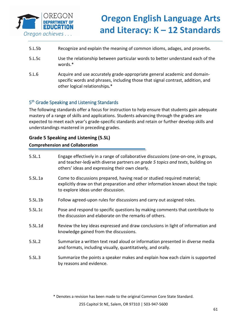

- 5.L.5b Recognize and explain the meaning of common idioms, adages, and proverbs.
- 5.L.5c Use the relationship between particular words to better understand each of the words.\*
- 5.L.6 Acquire and use accurately grade-appropriate general academic and domainspecific words and phrases, including those that signal contrast, addition, and other logical relationships*.*\*

# 5<sup>th</sup> Grade Speaking and Listening Standards

 The following standards offer a focus for instruction to help ensure that students gain adequate mastery of a range of skills and applications. Students advancing through the grades are expected to meet each year's grade-specific standards and retain or further develop skills and understandings mastered in preceding grades.

# **Grade 5 Speaking and Listening (5.SL)**

# **Comprehension and Collaboration**

| 5.SL.1  | Engage effectively in a range of collaborative discussions (one-on-one, in groups,<br>and teacher-led) with diverse partners on grade 5 topics and texts, building on<br>others' ideas and expressing their own clearly. |
|---------|--------------------------------------------------------------------------------------------------------------------------------------------------------------------------------------------------------------------------|
| 5.5L.1a | Come to discussions prepared, having read or studied required material;<br>explicitly draw on that preparation and other information known about the topic<br>to explore ideas under discussion.                         |
| 5.SL.1b | Follow agreed-upon rules for discussions and carry out assigned roles.                                                                                                                                                   |
| 5.5L.1c | Pose and respond to specific questions by making comments that contribute to<br>the discussion and elaborate on the remarks of others.                                                                                   |
| 5.SL.1d | Review the key ideas expressed and draw conclusions in light of information and<br>knowledge gained from the discussions.                                                                                                |
| 5.SL.2  | Summarize a written text read aloud or information presented in diverse media<br>and formats, including visually, quantitatively, and orally.                                                                            |
| 5.5L.3  | Summarize the points a speaker makes and explain how each claim is supported<br>by reasons and evidence.                                                                                                                 |

\* Denotes a revision has been made to the original Common Core State Standard.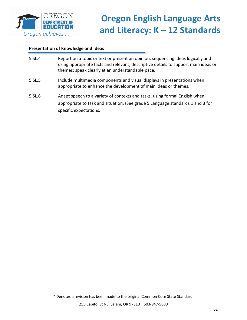

#### **Presentation of Knowledge and Ideas**

| 5.SL.4 | Report on a topic or text or present an opinion, sequencing ideas logically and<br>using appropriate facts and relevant, descriptive details to support main ideas or<br>themes; speak clearly at an understandable pace. |
|--------|---------------------------------------------------------------------------------------------------------------------------------------------------------------------------------------------------------------------------|
| 5.SL.5 | Include multimedia components and visual displays in presentations when<br>appropriate to enhance the development of main ideas or themes.                                                                                |
| 5.SL.6 | Adapt speech to a variety of contexts and tasks, using formal English when<br>appropriate to task and situation. (See grade 5 Language standards 1 and 3 for<br>specific expectations.                                    |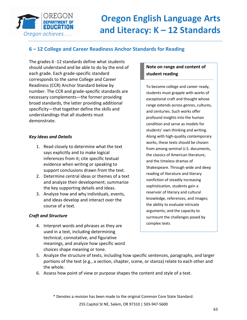

# **6 – 12 College and Career Readiness Anchor Standards for Reading**

 The grades 6 -12 standards define what students should understand and be able to do by the end of corresponds to the same College and Career each grade. Each grade-specific standard Readiness (CCR) Anchor Standard below by number. The CCR and grade-specific standards are necessary complements—the former providing broad standards, the latter providing additional specificity—that together define the skills and understandings that all students must demonstrate.

### *Key Ideas and Details*

- 1. Read closely to determine what the text says explicitly and to make logical inferences from it; cite specific textual support conclusions drawn from the text. evidence when writing or speaking to
- 2. Determine central ideas or themes of a text and analyze their development; summarize the key supporting details and ideas.
- and ideas develop and interact over the 3. Analyze how and why individuals, events, course of a text.

# *Craft and Structure*

 used in a text, including determining 4. Interpret words and phrases as they are technical, connotative, and figurative meanings, and analyze how specific word choices shape meaning or tone.

# **Note on range and content of student reading**

 To become college and career ready, students must grapple with works of and centuries. Such works offer students' own thinking and writing. Shakespeare. Through wide and deep exceptional craft and thought whose range extends across genres, cultures, profound insights into the human condition and serve as models for Along with high-quality contemporary works, these texts should be chosen from among seminal U.S. documents, the classics of American literature, and the timeless dramas of reading of literature and literary nonfiction of steadily increasing sophistication, students gain a reservoir of literary and cultural knowledge, references, and images; the ability to evaluate intricate arguments; and the capacity to surmount the challenges posed by complex texts

- portions of the text (e.g., a section, chapter, scene, or stanza) relate to each other and 5. Analyze the structure of texts, including how specific sentences, paragraphs, and larger the whole.
- 6. Assess how point of view or purpose shapes the content and style of a text.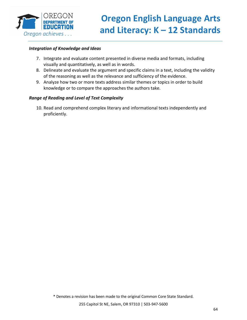

### *Integration of Knowledge and Ideas*

- 7. Integrate and evaluate content presented in diverse media and formats, including visually and quantitatively, as well as in words.
- 8. Delineate and evaluate the argument and specific claims in a text, including the validity of the reasoning as well as the relevance and sufficiency of the evidence.
- 9. Analyze how two or more texts address similar themes or topics in order to build knowledge or to compare the approaches the authors take.

### *Range of Reading and Level of Text Complexity*

10. Read and comprehend complex literary and informational texts independently and proficiently.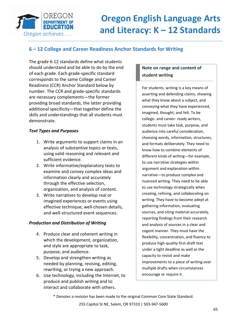

# **6 – 12 College and Career Readiness Anchor Standards for Writing**

 should understand and be able to do by the end corresponds to the same College and Career The grade 6-12 standards define what students of each grade. Each grade-specific standard Readiness (CCR) Anchor Standard below by number. The CCR and grade-specific standards are necessary complements—the former providing broad standards, the latter providing additional specificity—that together define the skills and understandings that all students must demonstrate.

#### *Text Types and Purposes*

- 1. Write arguments to support claims in an analysis of substantive topics or texts, using valid reasoning and relevant and sufficient evidence.
- 2. Write informative/explanatory texts to examine and convey complex ideas and information clearly and accurately through the effective selection, organization, and analysis of content.
- 3. Write narratives to develop real or imagined experiences or events using effective technique, well-chosen details, and well-structured event sequences.

#### *Production and Distribution of Writing*

- purpose, and audience. 4. Produce clear and coherent writing in which the development, organization, and style are appropriate to task,
- purpose, and audience. 5. Develop and strengthen writing as needed by planning, revising, editing, rewriting, or trying a new approach.
- produce and publish writing and to interact and collaborate with others. 6. Use technology, including the Internet, to

# **Note on range and content of student writing**

 imagined, thought, and felt. To be college- and career- ready writers, nuanced writing. They need to be able under a tight deadline as well as the For students, writing is a key means of asserting and defending claims, showing what they know about a subject, and conveying what they have experienced, students must take task, purpose, and audience into careful consideration, choosing words, information, structures, and formats deliberately. They need to know how to combine elements of different kinds of writing—for example, to use narrative strategies within argument and explanation within narrative—to produce complex and to use technology strategically when creating, refining, and collaborating on writing. They have to become adept at gathering information, evaluating sources, and citing material accurately, reporting findings from their research and analysis of sources in a clear and cogent manner. They must have the flexibility, concentration, and fluency to produce high-quality first-draft text capacity to revisit and make improvements to a piece of writing over multiple drafts when circumstances encourage or require it.

<sup>\*</sup> Denotes a revision has been made to the original Common Core State Standard.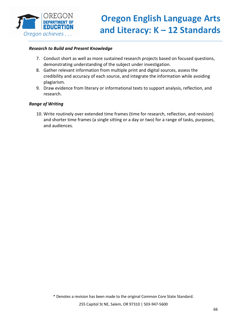

#### *Research to Build and Present Knowledge*

- 7. Conduct short as well as more sustained research projects based on focused questions, demonstrating understanding of the subject under investigation.
- 8. Gather relevant information from multiple print and digital sources, assess the credibility and accuracy of each source, and integrate the information while avoiding plagiarism.
- 9. Draw evidence from literary or informational texts to support analysis, reflection, and research.

#### *Range of Writing*

 10. Write routinely over extended time frames (time for research, reflection, and revision) and shorter time frames (a single sitting or a day or two) for a range of tasks, purposes, and audiences.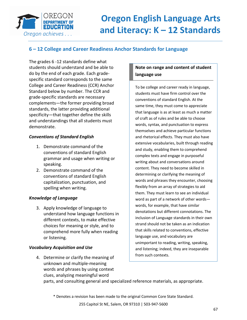

# **6 – 12 College and Career Readiness Anchor Standards for Language**

 The grades 6 -12 standards define what students should understand and be able to do by the end of each grade. Each grade- specific standard corresponds to the same and understandings that all students must College and Career Readiness (CCR) Anchor Standard below by number. The CCR and grade-specific standards are necessary complements—the former providing broad standards, the latter providing additional specificity—that together define the skills demonstrate.

# *Conventions of Standard English*

- 1. Demonstrate command of the conventions of standard English grammar and usage when writing or speaking.
- capitalization, punctuation, and 2. Demonstrate command of the conventions of standard English spelling when writing.

# *Knowledge of Language*

 comprehend more fully when reading 3. Apply knowledge of language to understand how language functions in different contexts, to make effective choices for meaning or style, and to or listening.

#### *Vocabulary Acquisition and Use*

 4. Determine or clarify the meaning of unknown and multiple-meaning words and phrases by using context clues, analyzing meaningful word

# **Note on range and content of student language use**

To be college and career ready in language, students must have firm control over the conventions of standard English. At the same time, they must come to appreciate that language is as at least as much a matter of craft as of rules and be able to choose words, syntax, and punctuation to express themselves and achieve particular functions and rhetorical effects. They must also have extensive vocabularies, built through reading and study, enabling them to comprehend complex texts and engage in purposeful writing about and conversations around content. They need to become skilled in determining or clarifying the meaning of words and phrases they encounter, choosing flexibly from an array of strategies to aid them. They must learn to see an individual word as part of a network of other words words, for example, that have similar denotations but different connotations. The inclusion of Language standards in their own strand should not be taken as an indication that skills related to conventions, effective language use, and vocabulary are unimportant to reading, writing, speaking, and listening; indeed, they are inseparable from such contexts.

parts, and consulting general and specialized reference materials, as appropriate.

<sup>\*</sup> Denotes a revision has been made to the original Common Core State Standard.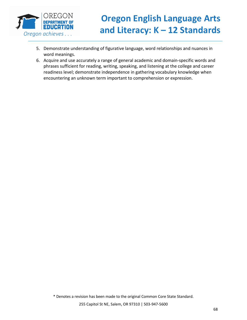

- 5. Demonstrate understanding of figurative language, word relationships and nuances in word meanings.
- 6. Acquire and use accurately a range of general academic and domain-specific words and phrases sufficient for reading, writing, speaking, and listening at the college and career readiness level; demonstrate independence in gathering vocabulary knowledge when encountering an unknown term important to comprehension or expression.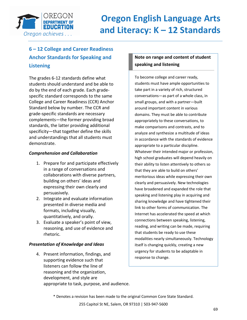

# **6 – 12 College and Career Readiness Anchor Standards for Speaking and Listening**

 students should understand and be able to do by the end of each grade. Each grade- specific standard corresponds to the same and understandings that all students must The grades 6-12 standards define what College and Career Readiness (CCR) Anchor Standard below by number. The CCR and grade-specific standards are necessary complements—the former providing broad standards, the latter providing additional specificity—that together define the skills demonstrate.

### *Comprehension and Collaboration*

- 1. Prepare for and participate effectively in a range of conversations and collaborations with diverse partners, building on others' ideas and expressing their own clearly and persuasively.
- 2. Integrate and evaluate information presented in diverse media and formats, including visually, quantitatively, and orally.
- 3. Evaluate a speaker's point of view, reasoning, and use of evidence and rhetoric.

# *Presentation of Knowledge and Ideas*

4. Present information, findings, and supporting evidence such that listeners can follow the line of reasoning and the organization, development, and style are appropriate to task, purpose, and audience.

# **Note on range and content of student speaking and listening**

 To become college and career ready, have broadened and expanded the role that Internet has accelerated the speed at which reading, and writing can be made, requiring students must have ample opportunities to take part in a variety of rich, structured conversations—as part of a whole class, in small groups, and with a partner—built around important content in various domains. They must be able to contribute appropriately to these conversations, to make comparisons and contrasts, and to analyze and synthesize a multitude of ideas in accordance with the standards of evidence appropriate to a particular discipline. Whatever their intended major or profession, high school graduates will depend heavily on their ability to listen attentively to others so that they are able to build on others' meritorious ideas while expressing their own clearly and persuasively. New technologies speaking and listening play in acquiring and sharing knowledge and have tightened their link to other forms of communication. The connections between speaking, listening, that students be ready to use these modalities nearly simultaneously. Technology itself is changing quickly, creating a new urgency for students to be adaptable in response to change.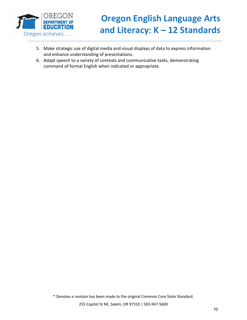

- 5. Make strategic use of digital media and visual displays of data to express information and enhance understanding of presentations.
- 6. Adapt speech to a variety of contexts and communicative tasks, demonstrating command of formal English when indicated or appropriate.

\* Denotes a revision has been made to the original Common Core State Standard.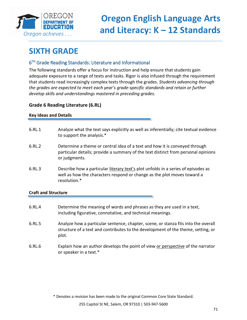

# **SIXTH GRADE**

# 6<sup>TH</sup> Grade Reading Standards: Literature and Informational

 The following standards offer a focus for instruction and help ensure that students gain adequate exposure to a range of texts and tasks. Rigor is also infused through the requirement that students read increasingly complex texts through the grades. *Students advancing through the grades are expected to meet each year's grade-specific standards and retain or further develop skills and understandings mastered in preceding grades.* 

# **Grade 6 Reading Literature (6.RL)**

#### **Key Ideas and Details**

- 6.RL.1 Analyze what the text says explicitly as well as inferentially; cite textual evidence to support the analysis.\*
- particular details; provide a summary of the text distinct from personal opinions 6.RL.2 Determine a theme or central idea of a text and how it is conveyed through or judgments.
- well as how the characters respond or change as the plot moves toward a 6.RL.3 Describe how a particular literary text's plot unfolds in a series of episodes as resolution.\*

# **Craft and Structure**

- 6.RL.4 Determine the meaning of words and phrases as they are used in a text, including figurative, connotative, and technical meanings.
- 6.RL.5 Analyze how a particular sentence, chapter, scene, or stanza fits into the overall structure of a text and contributes to the development of the theme, setting, or plot.
- 6.RL.6 Explain how an author develops the point of view or perspective of the narrator or speaker in a text.\*

\* Denotes a revision has been made to the original Common Core State Standard.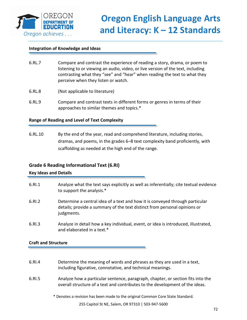

#### **Integration of Knowledge and Ideas**

- 6.RL.7 Compare and contrast the experience of reading a story, drama, or poem to contrasting what they "see" and "hear" when reading the text to what they listening to or viewing an audio, video, or live version of the text, including perceive when they listen or watch.
- 6.RL.8 (Not applicable to literature)
- 6.RL.9 Compare and contrast texts in different forms or genres in terms of their approaches to similar themes and topics.\*

#### **Range of Reading and Level of Text Complexity**

 dramas, and poems, in the grades 6–8 text complexity band proficiently, with 6.RL.10 By the end of the year, read and comprehend literature, including stories, scaffolding as needed at the high end of the range.

#### **Grade 6 Reading Informational Text (6.RI)**

#### **Key Ideas and Details**

- 6.RI.1 Analyze what the text says explicitly as well as inferentially; cite textual evidence to support the analysis.\* 6.RI.2 Determine a central idea of a text and how it is conveyed through particular
- details; provide a summary of the text distinct from personal opinions or judgments.
- 6.RI.3 Analyze in detail how a key individual, event, or idea is introduced, illustrated, and elaborated in a text.\*

#### **Craft and Structure**

- 6.RI.4 Determine the meaning of words and phrases as they are used in a text, including figurative, connotative, and technical meanings.
- 6.RI.5 Analyze how a particular sentence, paragraph, chapter, or section fits into the overall structure of a text and contributes to the development of the ideas.

\* Denotes a revision has been made to the original Common Core State Standard.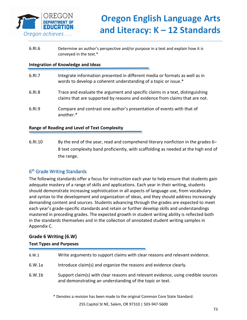

6.RI.6 Determine an author's perspective and/or purpose in a text and explain how it is conveyed in the text.\*

#### **Integration of Knowledge and Ideas**

- 6.RI.7 Integrate information presented in different media or formats as well as in words to develop a coherent understanding of a topic or issue.\*
- 6.RI.8 Trace and evaluate the argument and specific claims in a text, distinguishing claims that are supported by reasons and evidence from claims that are not.
- 6.RI.9 Compare and contrast one author's presentation of events with that of another.\*

#### **Range of Reading and Level of Text Complexity**

 8 text complexity band proficiently, with scaffolding as needed at the high end of 6.RI.10 By the end of the year, read and comprehend literary nonfiction in the grades 6– the range.

## 6th Grade Writing Standards

 The following standards offer a focus for instruction each year to help ensure that students gain and syntax to the development and organization of ideas, and they should address increasingly adequate mastery of a range of skills and applications. Each year in their writing, students should demonstrate increasing sophistication in all aspects of language use, from vocabulary demanding content and sources. Students advancing through the grades are expected to meet each year's grade-specific standards and retain or further develop skills and understandings mastered in preceding grades. The expected growth in student writing ability is reflected both in the standards themselves and in the collection of annotated student writing samples in Appendix C.

## **Grade 6 Writing (6.W) Text Types and Purposes**

| 6.W.1  | Write arguments to support claims with clear reasons and relevant evidence.                                                                   |  |
|--------|-----------------------------------------------------------------------------------------------------------------------------------------------|--|
| 6.W.1a | Introduce claim(s) and organize the reasons and evidence clearly.                                                                             |  |
| 6.W.1b | Support claim(s) with clear reasons and relevant evidence, using credible sources<br>and demonstrating an understanding of the topic or text. |  |
|        | * Denotes a revision has been made to the original Common Core State Standard.                                                                |  |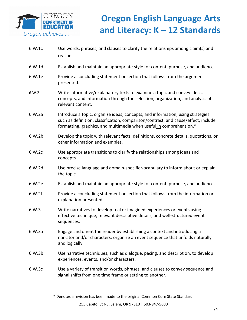

formatting, graphics, and multimedia when useful in comprehension.\* 6.W.2c Use appropriate transitions to clarify the relationships among ideas and 6.W.2d Use precise language and domain-specific vocabulary to inform about or explain 6.W.3 Write narratives to develop real or imagined experiences or events using narrator and/or characters; organize an event sequence that unfolds naturally 6.W.1c Use words, phrases, and clauses to clarify the relationships among claim(s) and reasons. 6.W.1d Establish and maintain an appropriate style for content, purpose, and audience. 6.W.1e Provide a concluding statement or section that follows from the argument presented. 6.W.2 Write informative/explanatory texts to examine a topic and convey ideas, concepts, and information through the selection, organization, and analysis of relevant content. 6.W.2a Introduce a topic; organize ideas, concepts, and information, using strategies such as definition, classification, comparison/contrast, and cause/effect; include 6.W.2b Develop the topic with relevant facts, definitions, concrete details, quotations, or other information and examples. concepts. the topic. 6.W.2e Establish and maintain an appropriate style for content, purpose, and audience. 6.W.2f Provide a concluding statement or section that follows from the information or explanation presented. effective technique, relevant descriptive details, and well-structured event sequences. 6.W.3a Engage and orient the reader by establishing a context and introducing a and logically. 6.W.3b Use narrative techniques, such as dialogue, pacing, and description, to develop experiences, events, and/or characters. 6.W.3c Use a variety of transition words, phrases, and clauses to convey sequence and signal shifts from one time frame or setting to another.

\* Denotes a revision has been made to the original Common Core State Standard.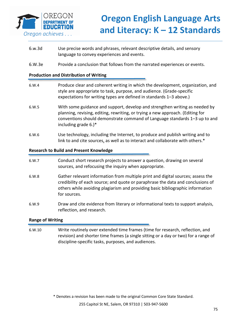

- 6.w.3d Use precise words and phrases, relevant descriptive details, and sensory language to convey experiences and events.
- 6.W.3e Provide a conclusion that follows from the narrated experiences or events.

#### **Production and Distribution of Writing**

- expectations for writing types are defined in standards 1–3 above.) 6.W.4 Produce clear and coherent writing in which the development, organization, and style are appropriate to task, purpose, and audience. (Grade-specific
- 6.W.5 With some guidance and support, develop and strengthen writing as needed by planning, revising, editing, rewriting, or trying a new approach. (Editing for conventions should demonstrate command of Language standards 1–3 up to and including grade 6.)\*
- 6.W.6 Use technology, including the Internet, to produce and publish writing and to link to and cite sources, as well as to interact and collaborate with others.\*

#### **Research to Build and Present Knowledge**

- 6.W.7 Conduct short research projects to answer a question, drawing on several sources, and refocusing the inquiry when appropriate.
- 6.W.8 Gather relevant information from multiple print and digital sources; assess the credibility of each source; and quote or paraphrase the data and conclusions of others while avoiding plagiarism and providing basic bibliographic information for sources.
- 6.W.9 Draw and cite evidence from literary or informational texts to support analysis, reflection, and research.

#### **Range of Writing**

 6.W.10 Write routinely over extended time frames (time for research, reflection, and revision) and shorter time frames (a single sitting or a day or two) for a range of discipline-specific tasks, purposes, and audiences.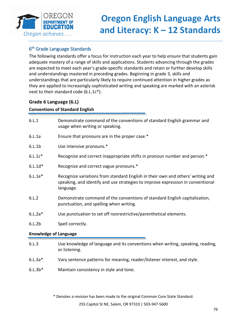

## 6th Grade Language Standards

 The following standards offer a focus for instruction each year to help ensure that students gain next to their standard code (6.L.1c\*). adequate mastery of a range of skills and applications. Students advancing through the grades are expected to meet each year's grade-specific standards and retain or further develop skills and understandings mastered in preceding grades. Beginning in grade 3, skills and understandings that are particularly likely to require continued attention in higher grades as they are applied to increasingly sophisticated writing and speaking are marked with an asterisk

## **Grade 6 Language (6.L)**

**Conventions of Standard English** 

- 6.L.1a Ensure that pronouns are in the proper case.\* 6.L.1 Demonstrate command of the conventions of standard English grammar and usage when writing or speaking. 6.L.1b Use intensive pronouns.\* 6.L.1c\* Recognize and correct inappropriate shifts in pronoun number and person.\* 6.L.1d\* Recognize and correct vague pronouns.\* 6.L.1e\* Recognize variations from standard English in their own and others' writing and speaking, and identify and use strategies to improve expression in conventional language. 6.L.2 Demonstrate command of the conventions of standard English capitalization, punctuation, and spelling when writing. 6.L.2a\* Use punctuation to set off nonrestrictive/parenthetical elements.
- 6.L.2b Spell correctly.

#### **Knowledge of Language**

- 6.L.3 Use knowledge of language and its conventions when writing, speaking, reading, or listening.
- 6.L.3a\* Vary sentence patterns for meaning, reader/listener interest, and style.
- 6.L.3b\* Maintain consistency in style and tone.

\* Denotes a revision has been made to the original Common Core State Standard.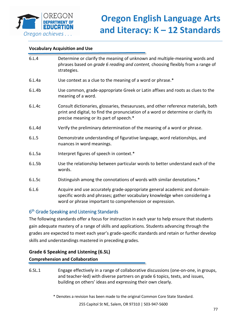

#### **Vocabulary Acquisition and Use**

| 6.L.4  | Determine or clarify the meaning of unknown and multiple-meaning words and<br>phrases based on grade 6 reading and content, choosing flexibly from a range of<br>strategies.                                        |
|--------|---------------------------------------------------------------------------------------------------------------------------------------------------------------------------------------------------------------------|
| 6.L.4a | Use context as a clue to the meaning of a word or phrase.*                                                                                                                                                          |
| 6.L.4b | Use common, grade-appropriate Greek or Latin affixes and roots as clues to the<br>meaning of a word.                                                                                                                |
| 6.L.4c | Consult dictionaries, glossaries, thesauruses, and other reference materials, both<br>print and digital, to find the pronunciation of a word or determine or clarify its<br>precise meaning or its part of speech.* |
| 6.L.4d | Verify the preliminary determination of the meaning of a word or phrase.                                                                                                                                            |
| 6.L.5  | Demonstrate understanding of figurative language, word relationships, and<br>nuances in word meanings.                                                                                                              |
| 6.L.5a | Interpret figures of speech in context.*                                                                                                                                                                            |
| 6.L.5b | Use the relationship between particular words to better understand each of the<br>words.                                                                                                                            |
| 6.L.5c | Distinguish among the connotations of words with similar denotations.*                                                                                                                                              |
| 6.L.6  | Acquire and use accurately grade-appropriate general academic and domain-<br>specific words and phrases; gather vocabulary knowledge when considering a<br>word or phrase important to comprehension or expression. |

## 6th Grade Speaking and Listening Standards

 The following standards offer a focus for instruction in each year to help ensure that students grades are expected to meet each year's grade-specific standards and retain or further develop gain adequate mastery of a range of skills and applications. Students advancing through the skills and understandings mastered in preceding grades.

## **Grade 6 Speaking and Listening (6.SL)**

## **Comprehension and Collaboration**

 and teacher-led) with diverse partners on grade 6 topics, texts, and issues, building on others' ideas and expressing their own clearly. 6.SL.1 Engage effectively in a range of collaborative discussions (one-on-one, in groups,

\* Denotes a revision has been made to the original Common Core State Standard.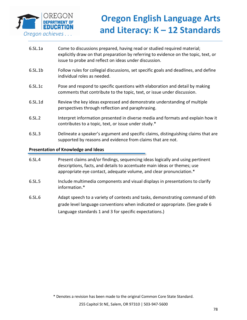

- explicitly draw on that preparation by referring to evidence on the topic, text, or issue to probe and reflect on ideas under discussion. 6.SL.1a Come to discussions prepared, having read or studied required material;
- 6.SL.1b Follow rules for collegial discussions, set specific goals and deadlines, and define individual roles as needed.
- 6.SL.1c Pose and respond to specific questions with elaboration and detail by making comments that contribute to the topic, text, or issue under discussion.
- 6.SL.1d Review the key ideas expressed and demonstrate understanding of multiple perspectives through reflection and paraphrasing.
- contributes to a topic, text, or issue under study.\* 6.SL.2 Interpret information presented in diverse media and formats and explain how it
- 6.SL.3 Delineate a speaker's argument and specific claims, distinguishing claims that are supported by reasons and evidence from claims that are not.

#### **Presentation of Knowledge and Ideas**

- 6.SL.4 Present claims and/or findings, sequencing ideas logically and using pertinent descriptions, facts, and details to accentuate main ideas or themes; use appropriate eye contact, adequate volume, and clear pronunciation.\*
- 6.SL.5 Include multimedia components and visual displays in presentations to clarify information.\*
- 6.SL.6 Adapt speech to a variety of contexts and tasks, demonstrating command of 6th grade level language conventions when indicated or appropriate. (See grade 6 Language standards 1 and 3 for specific expectations.)

<sup>\*</sup> Denotes a revision has been made to the original Common Core State Standard.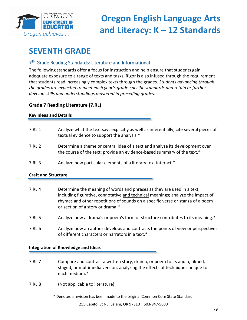

# **SEVENTH GRADE**

## 7TH Grade Reading Standards: Literature and Informational

 The following standards offer a focus for instruction and help ensure that students gain adequate exposure to a range of texts and tasks. Rigor is also infused through the requirement that students read increasingly complex texts through the grades. *Students advancing through the grades are expected to meet each year's grade-specific standards and retain or further develop skills and understandings mastered in preceding grades.* 

## **Grade 7 Reading Literature (7.RL)**

#### **Key Ideas and Details**

- 7.RL.1 Analyze what the text says explicitly as well as inferentially; cite several pieces of textual evidence to support the analysis.\*
- 7.RL.2 Determine a theme or central idea of a text and analyze its development over the course of the text; provide an evidence-based summary of the text.\*
- 7.RL.3 Analyze how particular elements of a literary text interact.\*

## **Craft and Structure**

- 7.RL.4 Determine the meaning of words and phrases as they are used in a text, or section of a story or drama.\* including figurative, connotative and technical meanings; analyze the impact of rhymes and other repetitions of sounds on a specific verse or stanza of a poem
- 7.RL.5 Analyze how a drama's or poem's form or structure contributes to its meaning.\*
- 7.RL.6 Analyze how an author develops and contrasts the points of view or perspectives of different characters or narrators in a text.\*

#### **Integration of Knowledge and Ideas**

 7.RL.7 Compare and contrast a written story, drama, or poem to its audio, filmed, staged, or multimedia version, analyzing the effects of techniques unique to each medium.\*

7.RL.8 (Not applicable to literature)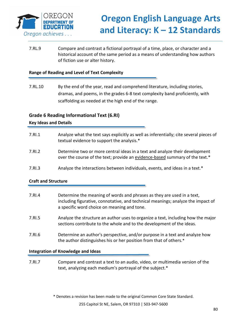

 historical account of the same period as a means of understanding how authors 7.RL.9 Compare and contrast a fictional portrayal of a time, place, or character and a of fiction use or alter history.

#### **Range of Reading and Level of Text Complexity**

7.RL.10 By the end of the year, read and comprehend literature, including stories, dramas, and poems, in the grades 6-8 text complexity band proficiently, with scaffolding as needed at the high end of the range.

#### **Grade 6 Reading Informational Text (6.RI)**

#### **Key Ideas and Details**

- 7.RI.1 Analyze what the text says explicitly as well as inferentially; cite several pieces of textual evidence to support the analysis.\*
- 7.RI.2 Determine two or more central ideas in a text and analyze their development over the course of the text; provide an evidence-based summary of the text.\*
- 7.RI.3 Analyze the interactions between individuals, events, and ideas in a text.\*

#### **Craft and Structure**

- 7.RI.4 Determine the meaning of words and phrases as they are used in a text, including figurative, connotative, and technical meanings; analyze the impact of a specific word choice on meaning and tone.
- 7.RI.5 Analyze the structure an author uses to organize a text, including how the major sections contribute to the whole and to the development of the ideas.
- 7.RI.6 Determine an author's perspective, and/or purpose in a text and analyze how the author distinguishes his or her position from that of others.\*

#### **Integration of Knowledge and Ideas**

 7.RI.7 Compare and contrast a text to an audio, video, or multimedia version of the text, analyzing each medium's portrayal of the subject.\*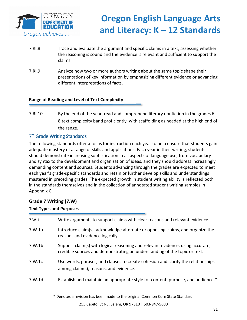

- 7.RI.8 Trace and evaluate the argument and specific claims in a text, assessing whether the reasoning is sound and the evidence is relevant and sufficient to support the claims.
- 7.RI.9 Analyze how two or more authors writing about the same topic shape their presentations of key information by emphasizing different evidence or advancing different interpretations of facts.

## **Range of Reading and Level of Text Complexity**

 8 text complexity band proficiently, with scaffolding as needed at the high end of 7.RI.10 By the end of the year, read and comprehend literary nonfiction in the grades 6 the range.

## 7<sup>th</sup> Grade Writing Standards

 The following standards offer a focus for instruction each year to help ensure that students gain and syntax to the development and organization of ideas, and they should address increasingly adequate mastery of a range of skills and applications. Each year in their writing, students should demonstrate increasing sophistication in all aspects of language use, from vocabulary demanding content and sources. Students advancing through the grades are expected to meet each year's grade-specific standards and retain or further develop skills and understandings mastered in preceding grades. The expected growth in student writing ability is reflected both in the standards themselves and in the collection of annotated student writing samples in Appendix C.

## **Grade 7 Writing (7.W)**

## **Text Types and Purposes**

| 7.W.1  | Write arguments to support claims with clear reasons and relevant evidence.                                                                                 |
|--------|-------------------------------------------------------------------------------------------------------------------------------------------------------------|
| 7.W.1a | Introduce claim(s), acknowledge alternate or opposing claims, and organize the<br>reasons and evidence logically.                                           |
| 7.W.1b | Support claim(s) with logical reasoning and relevant evidence, using accurate,<br>credible sources and demonstrating an understanding of the topic or text. |
| 7.W.1c | Use words, phrases, and clauses to create cohesion and clarify the relationships<br>among claim(s), reasons, and evidence.                                  |
| 7.W.1d | Establish and maintain an appropriate style for content, purpose, and audience.*                                                                            |
|        |                                                                                                                                                             |

\* Denotes a revision has been made to the original Common Core State Standard.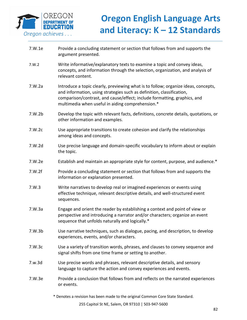

7.W.1e Provide a concluding statement or section that follows from and supports the 7.W.2d Use precise language and domain-specific vocabulary to inform about or explain 7.W.2f Provide a concluding statement or section that follows from and supports the 7.W.3 Write narratives to develop real or imagined experiences or events using perspective and introducing a narrator and/or characters; organize an event sequence that unfolds naturally and logically.\* argument presented. 7.W.2 Write informative/explanatory texts to examine a topic and convey ideas, concepts, and information through the selection, organization, and analysis of relevant content. 7.W.2a Introduce a topic clearly, previewing what is to follow; organize ideas, concepts, and information, using strategies such as definition, classification, comparison/contrast, and cause/effect; include formatting, graphics, and multimedia when useful in aiding comprehension.\* 7.W.2b Develop the topic with relevant facts, definitions, concrete details, quotations, or other information and examples. 7.W.2c Use appropriate transitions to create cohesion and clarify the relationships among ideas and concepts. the topic. 7.W.2e Establish and maintain an appropriate style for content, purpose, and audience.\* information or explanation presented. effective technique, relevant descriptive details, and well-structured event sequences. 7.W.3a Engage and orient the reader by establishing a context and point of view or 7.W.3b Use narrative techniques, such as dialogue, pacing, and description, to develop experiences, events, and/or characters. 7.W.3c Use a variety of transition words, phrases, and clauses to convey sequence and signal shifts from one time frame or setting to another. 7.w.3d Use precise words and phrases, relevant descriptive details, and sensory language to capture the action and convey experiences and events. 7.W.3e Provide a conclusion that follows from and reflects on the narrated experiences or events.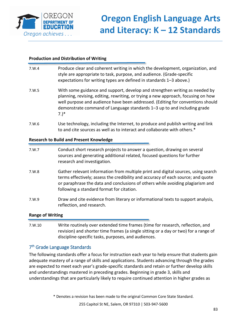

#### **Production and Distribution of Writing**

- expectations for writing types are defined in standards 1–3 above.) 7.W.4 Produce clear and coherent writing in which the development, organization, and style are appropriate to task, purpose, and audience. (Grade-specific
- 7.W.5 With some guidance and support, develop and strengthen writing as needed by planning, revising, editing, rewriting, or trying a new approach, focusing on how well purpose and audience have been addressed. (Editing for conventions should demonstrate command of Language standards 1–3 up to and including grade 7.)\*
- 7.W.6 Use technology, including the Internet, to produce and publish writing and link to and cite sources as well as to interact and collaborate with others.\*

#### **Research to Build and Present Knowledge**

- sources and generating additional related, focused questions for further 7.W.7 Conduct short research projects to answer a question, drawing on several research and investigation.
- 7.W.8 Gather relevant information from multiple print and digital sources, using search terms effectively; assess the credibility and accuracy of each source; and quote or paraphrase the data and conclusions of others while avoiding plagiarism and following a standard format for citation.
- 7.W.9 Draw and cite evidence from literary or informational texts to support analysis, reflection, and research.

#### **Range of Writing**

 7.W.10 Write routinely over extended time frames (time for research, reflection, and revision) and shorter time frames (a single sitting or a day or two) for a range of discipline-specific tasks, purposes, and audiences.

## 7<sup>th</sup> Grade Language Standards

 The following standards offer a focus for instruction each year to help ensure that students gain adequate mastery of a range of skills and applications. Students advancing through the grades are expected to meet each year's grade-specific standards and retain or further develop skills and understandings mastered in preceding grades. Beginning in grade 3, skills and understandings that are particularly likely to require continued attention in higher grades as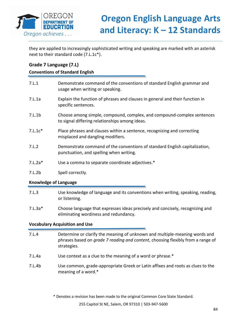

 next to their standard code (7.L.1c\*). they are applied to increasingly sophisticated writing and speaking are marked with an asterisk

## **Grade 7 Language (7.L)**

#### **Conventions of Standard English**

- 7.L.1 Demonstrate command of the conventions of standard English grammar and usage when writing or speaking. 7.L.1a Explain the function of phrases and clauses in general and their function in specific sentences.
- 7.L.1b Choose among simple, compound, complex, and compound-complex sentences to signal differing relationships among ideas.
- 7.L.1c\* Place phrases and clauses within a sentence, recognizing and correcting misplaced and dangling modifiers.
- 7.L.2 Demonstrate command of the conventions of standard English capitalization, punctuation, and spelling when writing.
- 7.L.2a\* Use a comma to separate coordinate adjectives.\*
- 7.L.2b Spell correctly.

#### **Knowledge of Language**

- 7.L.3 Use knowledge of language and its conventions when writing, speaking, reading, or listening.
- 7.L.3a\* Choose language that expresses ideas precisely and concisely, recognizing and eliminating wordiness and redundancy.

#### **Vocabulary Acquisition and Use**

- 7.L.4 Determine or clarify the meaning of unknown and multiple-meaning words and phrases based on *grade 7 reading and content*, choosing flexibly from a range of strategies.
- 7.L.4a Use context as a clue to the meaning of a word or phrase.\*
- 7.L.4b Use common, grade-appropriate Greek or Latin affixes and roots as clues to the meaning of a word.\*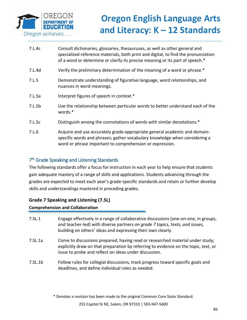

| 7.L.4c | Consult dictionaries, glossaries, thesauruses, as well as other general and<br>specialized reference materials, both print and digital, to find the pronunciation<br>of a word or determine or clarify its precise meaning or its part of speech.* |
|--------|----------------------------------------------------------------------------------------------------------------------------------------------------------------------------------------------------------------------------------------------------|
| 7.L.4d | Verify the preliminary determination of the meaning of a word or phrase.*                                                                                                                                                                          |
| 7.L.5  | Demonstrate understanding of figurative language, word relationships, and<br>nuances in word meanings.                                                                                                                                             |
| 7.L.5a | Interpret figures of speech in context.*                                                                                                                                                                                                           |
| 7.L.5b | Use the relationship between particular words to better understand each of the<br>words.*                                                                                                                                                          |
| 7.L.5c | Distinguish among the connotations of words with similar denotations.*                                                                                                                                                                             |
| 7.L.6  | Acquire and use accurately grade-appropriate general academic and domain-<br>specific words and phrases; gather vocabulary knowledge when considering a<br>word or phrase important to comprehension or expression.                                |

## 7th Grade Speaking and Listening Standards

 grades are expected to meet each year's grade-specific standards and retain or further develop The following standards offer a focus for instruction in each year to help ensure that students gain adequate mastery of a range of skills and applications. Students advancing through the skills and understandings mastered in preceding grades.

## **Grade 7 Speaking and Listening (7.SL)**

## **Comprehension and Collaboration**

- building on others' ideas and expressing their own clearly. 7.SL.1 Engage effectively in a range of collaborative discussions (one-on-one, in groups, and teacher-led) with diverse partners *on grade 7 topics, texts, and issues,*
- explicitly draw on that preparation by referring to evidence on the topic, text, or issue to probe and reflect on ideas under discussion. 7.SL.1a Come to discussions prepared, having read or researched material under study;
- 7.SL.1b Follow rules for collegial discussions, track progress toward specific goals and deadlines, and define individual roles as needed.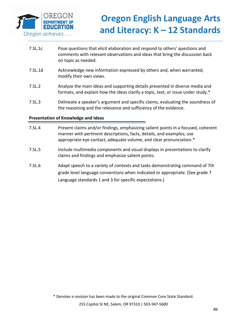

- comments with relevant observations and ideas that bring the discussion back 7.SL.1c Pose questions that elicit elaboration and respond to others' questions and on topic as needed.
- 7.SL.1d Acknowledge new information expressed by others and, when warranted, modify their own views.
- 7.SL.2 Analyze the main ideas and supporting details presented in diverse media and formats, and explain how the ideas clarify a topic, text, or issue under study.\*
- the reasoning and the relevance and sufficiency of the evidence. 7.SL.3 Delineate a speaker's argument and specific claims, evaluating the soundness of

#### **Presentation of Knowledge and Ideas**

- manner with pertinent descriptions, facts, details, and examples; use 7.SL.4 Present claims and/or findings, emphasizing salient points in a focused, coherent appropriate eye contact, adequate volume, and clear pronunciation.\*
- 7.SL.5 Include multimedia components and visual displays in presentations to clarify claims and findings and emphasize salient points.
- 7.SL.6 Adapt speech to a variety of contexts and tasks demonstrating command of 7th grade level language conventions when indicated or appropriate. (See grade 7 Language standards 1 and 3 for specific expectations.)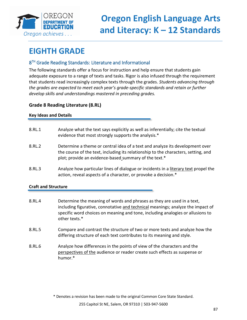

## **EIGHTH GRADE**

## 8<sup>TH</sup> Grade Reading Standards: Literature and Informational

 The following standards offer a focus for instruction and help ensure that students gain adequate exposure to a range of texts and tasks. Rigor is also infused through the requirement that students read increasingly complex texts through the grades. *Students advancing through the grades are expected to meet each year's grade-specific standards and retain or further develop skills and understandings mastered in preceding grades.* 

## **Grade 8 Reading Literature (8.RL)**

#### **Key Ideas and Details**

- 8.RL.1 Analyze what the text says explicitly as well as inferentially; cite the textual evidence that most strongly supports the analysis.\*
- 8.RL.2 Determine a theme or central idea of a text and analyze its development over the course of the text, including its relationship to the characters, setting, and plot; provide an evidence-based summary of the text.\*
- 8.RL.3 Analyze how particular lines of dialogue or incidents in a literary text propel the action, reveal aspects of a character, or provoke a decision.\*

## **Craft and Structure**

- 8.RL.4 Determine the meaning of words and phrases as they are used in a text, specific word choices on meaning and tone, including analogies or allusions to including figurative, connotative and technical meanings; analyze the impact of other texts.\*
- differing structure of each text contributes to its meaning and style. 8.RL.5 Compare and contrast the structure of two or more texts and analyze how the
- 8.RL.6 Analyze how differences in the points of view of the characters and the perspectives of the audience or reader create such effects as suspense or humor.\*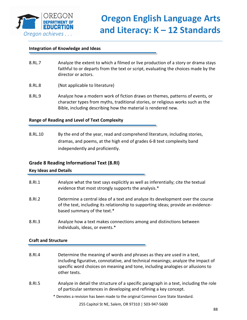

#### **Integration of Knowledge and Ideas**

- 8.RL.7 Analyze the extent to which a filmed or live production of a story or drama stays faithful to or departs from the text or script, evaluating the choices made by the director or actors.
- 8.RL.8 (Not applicable to literature)
- character types from myths, traditional stories, or religious works such as the 8.RL.9 Analyze how a modern work of fiction draws on themes, patterns of events, or Bible, including describing how the material is rendered new.

#### **Range of Reading and Level of Text Complexity**

8.RL.10 By the end of the year, read and comprehend literature, including stories, dramas, and poems, at the high end of grades 6-8 text complexity band independently and proficiently.

#### **Grade 8 Reading Informational Text (8.RI)**

#### **Key Ideas and Details**

- 8.RI.1 Analyze what the text says explicitly as well as inferentially; cite the textual evidence that most strongly supports the analysis.\*
- 8.RI.2 Determine a central idea of a text and analyze its development over the course based summary of the text.\* of the text, including its relationship to supporting ideas; provide an evidence-
- 8.RI.3 Analyze how a text makes connections among and distinctions between individuals, ideas, or events.\*

#### **Craft and Structure**

- 8.RI.4 Determine the meaning of words and phrases as they are used in a text, including figurative, connotative, and technical meanings; analyze the impact of specific word choices on meaning and tone, including analogies or allusions to other texts.
- 8.RI.5 Analyze in detail the structure of a specific paragraph in a text, including the role of particular sentences in developing and refining a key concept.
	- \* Denotes a revision has been made to the original Common Core State Standard.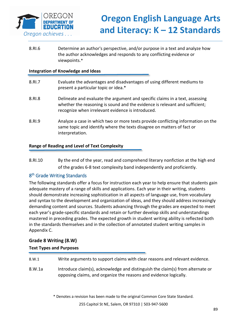

8.RI.6 Determine an author's perspective, and/or purpose in a text and analyze how the author acknowledges and responds to any conflicting evidence or viewpoints.\*

#### **Integration of Knowledge and Ideas**

- 8.RI.7 Evaluate the advantages and disadvantages of using different mediums to present a particular topic or idea.\*
- whether the reasoning is sound and the evidence is relevant and sufficient; 8.RI.8 Delineate and evaluate the argument and specific claims in a text, assessing recognize when irrelevant evidence is introduced.
- 8.RI.9 Analyze a case in which two or more texts provide conflicting information on the same topic and identify where the texts disagree on matters of fact or interpretation.

#### **Range of Reading and Level of Text Complexity**

8.RI.10 By the end of the year, read and comprehend literary nonfiction at the high end of the grades 6-8 text complexity band independently and proficiently.

## 8<sup>th</sup> Grade Writing Standards

 The following standards offer a focus for instruction each year to help ensure that students gain and syntax to the development and organization of ideas, and they should address increasingly adequate mastery of a range of skills and applications. Each year in their writing, students should demonstrate increasing sophistication in all aspects of language use, from vocabulary demanding content and sources. Students advancing through the grades are expected to meet each year's grade-specific standards and retain or further develop skills and understandings mastered in preceding grades. The expected growth in student writing ability is reflected both in the standards themselves and in the collection of annotated student writing samples in Appendix C.

#### **Grade 8 Writing (8.W)**

#### **Text Types and Purposes**

| 8.W.1  | Write arguments to support claims with clear reasons and relevant evidence.                                                                         |
|--------|-----------------------------------------------------------------------------------------------------------------------------------------------------|
| 8.W.1a | Introduce claim(s), acknowledge and distinguish the claim(s) from alternate or<br>opposing claims, and organize the reasons and evidence logically. |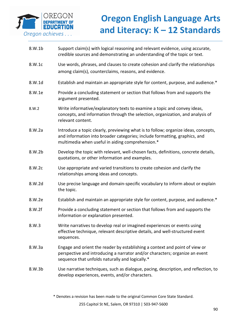

| 8.W.1b | Support claim(s) with logical reasoning and relevant evidence, using accurate,<br>credible sources and demonstrating an understanding of the topic or text.                                                          |
|--------|----------------------------------------------------------------------------------------------------------------------------------------------------------------------------------------------------------------------|
| 8.W.1c | Use words, phrases, and clauses to create cohesion and clarify the relationships<br>among claim(s), counterclaims, reasons, and evidence.                                                                            |
| 8.W.1d | Establish and maintain an appropriate style for content, purpose, and audience.*                                                                                                                                     |
| 8.W.1e | Provide a concluding statement or section that follows from and supports the<br>argument presented.                                                                                                                  |
| 8.W.2  | Write informative/explanatory texts to examine a topic and convey ideas,<br>concepts, and information through the selection, organization, and analysis of<br>relevant content.                                      |
| 8.W.2a | Introduce a topic clearly, previewing what is to follow; organize ideas, concepts,<br>and information into broader categories; include formatting, graphics, and<br>multimedia when useful in aiding comprehension.* |
| 8.W.2b | Develop the topic with relevant, well-chosen facts, definitions, concrete details,<br>quotations, or other information and examples.                                                                                 |
| 8.W.2c | Use appropriate and varied transitions to create cohesion and clarify the<br>relationships among ideas and concepts.                                                                                                 |
| 8.W.2d | Use precise language and domain-specific vocabulary to inform about or explain<br>the topic.                                                                                                                         |
| 8.W.2e | Establish and maintain an appropriate style for content, purpose, and audience.*                                                                                                                                     |
| 8.W.2f | Provide a concluding statement or section that follows from and supports the<br>information or explanation presented.                                                                                                |
| 8.W.3  | Write narratives to develop real or imagined experiences or events using<br>effective technique, relevant descriptive details, and well-structured event<br>sequences.                                               |
| 8.W.3a | Engage and orient the reader by establishing a context and point of view or<br>perspective and introducing a narrator and/or characters; organize an event<br>sequence that unfolds naturally and logically.*        |
| 8.W.3b | Use narrative techniques, such as dialogue, pacing, description, and reflection, to<br>develop experiences, events, and/or characters.                                                                               |
|        |                                                                                                                                                                                                                      |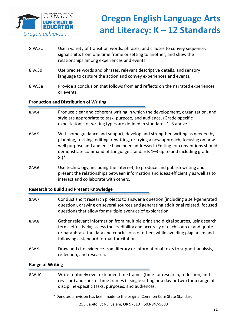

- signal shifts from one time frame or setting to another, and show the 8.W.3c Use a variety of transition words, phrases, and clauses to convey sequence, relationships among experiences and events.
- 8.w.3d Use precise words and phrases, relevant descriptive details, and sensory language to capture the action and convey experiences and events.
- 8.W.3e Provide a conclusion that follows from and reflects on the narrated experiences or events.

#### **Production and Distribution of Writing**

- expectations for writing types are defined in standards 1–3 above.) 8.W.4 Produce clear and coherent writing in which the development, organization, and style are appropriate to task, purpose, and audience. (Grade-specific
- 8.W.5 With some guidance and support, develop and strengthen writing as needed by planning, revising, editing, rewriting, or trying a new approach, focusing on how well purpose and audience have been addressed. (Editing for conventions should demonstrate command of Language standards 1–3 up to and including grade 8.)\*
- 8.W.6 Use technology, including the Internet, to produce and publish writing and present the relationships between information and ideas efficiently as well as to interact and collaborate with others.

#### **Research to Build and Present Knowledge**

- question), drawing on several sources and generating additional related, focused 8.W.7 Conduct short research projects to answer a question (including a self-generated questions that allow for multiple avenues of exploration.
- 8.W.8 Gather relevant information from multiple print and digital sources, using search terms effectively; assess the credibility and accuracy of each source; and quote or paraphrase the data and conclusions of others while avoiding plagiarism and following a standard format for citation.
- 8.W.9 Draw and cite evidence from literary or informational texts to support analysis, reflection, and research.

#### **Range of Writing**

 8.W.10 Write routinely over extended time frames (time for research, reflection, and revision) and shorter time frames (a single sitting or a day or two) for a range of discipline-specific tasks, purposes, and audiences.

\* Denotes a revision has been made to the original Common Core State Standard.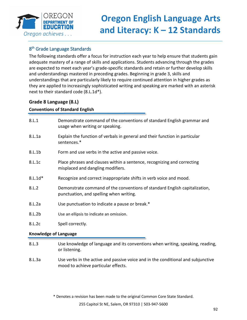

## 8th Grade Language Standards

 The following standards offer a focus for instruction each year to help ensure that students gain next to their standard code (8.L.1d\*). adequate mastery of a range of skills and applications. Students advancing through the grades are expected to meet each year's grade-specific standards and retain or further develop skills and understandings mastered in preceding grades. Beginning in grade 3, skills and understandings that are particularly likely to require continued attention in higher grades as they are applied to increasingly sophisticated writing and speaking are marked with an asterisk

## **Grade 8 Language (8.L)**

**Conventions of Standard English** 

| 8.L.1     | Demonstrate command of the conventions of standard English grammar and<br>usage when writing or speaking.             |
|-----------|-----------------------------------------------------------------------------------------------------------------------|
| 8.L.1a    | Explain the function of verbals in general and their function in particular<br>sentences.*                            |
| 8.L.1b    | Form and use verbs in the active and passive voice.                                                                   |
| 8.L.1c    | Place phrases and clauses within a sentence, recognizing and correcting<br>misplaced and dangling modifiers.          |
| $8.L.1d*$ | Recognize and correct inappropriate shifts in verb voice and mood.                                                    |
| 8.L.2     | Demonstrate command of the conventions of standard English capitalization,<br>punctuation, and spelling when writing. |
| 8.L.2a    | Use punctuation to indicate a pause or break.*                                                                        |
| 8.L.2b    | Use an ellipsis to indicate an omission.                                                                              |
| 8.L.2c    | Spell correctly.                                                                                                      |

#### **Knowledge of Language**

- 8.L.3 Use knowledge of language and its conventions when writing, speaking, reading, or listening.
- 8.L.3a Use verbs in the active and passive voice and in the conditional and subjunctive mood to achieve particular effects.

\* Denotes a revision has been made to the original Common Core State Standard.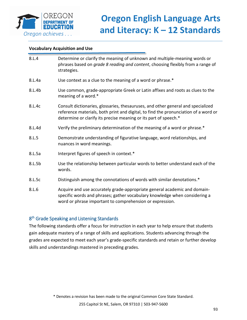

#### **Vocabulary Acquisition and Use**

| 8.L.4  | Determine or clarify the meaning of unknown and multiple-meaning words or<br>phrases based on grade 8 reading and content, choosing flexibly from a range of<br>strategies.                                                                 |
|--------|---------------------------------------------------------------------------------------------------------------------------------------------------------------------------------------------------------------------------------------------|
| 8.L.4a | Use context as a clue to the meaning of a word or phrase.*                                                                                                                                                                                  |
| 8.L.4b | Use common, grade-appropriate Greek or Latin affixes and roots as clues to the<br>meaning of a word.*                                                                                                                                       |
| 8.L.4c | Consult dictionaries, glossaries, thesauruses, and other general and specialized<br>reference materials, both print and digital, to find the pronunciation of a word or<br>determine or clarify its precise meaning or its part of speech.* |
| 8.L.4d | Verify the preliminary determination of the meaning of a word or phrase.*                                                                                                                                                                   |
| 8.L.5  | Demonstrate understanding of figurative language, word relationships, and<br>nuances in word meanings.                                                                                                                                      |
| 8.L.5a | Interpret figures of speech in context.*                                                                                                                                                                                                    |
| 8.L.5b | Use the relationship between particular words to better understand each of the<br>words.                                                                                                                                                    |
| 8.L.5c | Distinguish among the connotations of words with similar denotations.*                                                                                                                                                                      |
| 8.L.6  | Acquire and use accurately grade-appropriate general academic and domain-<br>specific words and phrases; gather vocabulary knowledge when considering a<br>word or phrase important to comprehension or expression.                         |

## 8<sup>th</sup> Grade Speaking and Listening Standards

 The following standards offer a focus for instruction in each year to help ensure that students grades are expected to meet each year's grade-specific standards and retain or further develop gain adequate mastery of a range of skills and applications. Students advancing through the skills and understandings mastered in preceding grades.

\* Denotes a revision has been made to the original Common Core State Standard.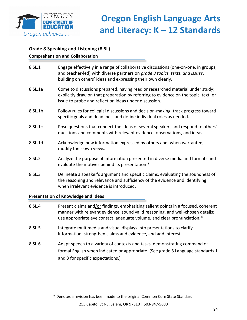

## **Grade 8 Speaking and Listening (8.SL)**

#### **Comprehension and Collaboration**

- building on others' ideas and expressing their own clearly. 8.SL.1 Engage effectively in a range of collaborative discussions (one-on-one, in groups, and teacher-led) with diverse partners on *grade 8 topics, texts, and issues*,
- explicitly draw on that preparation by referring to evidence on the topic, text, or issue to probe and reflect on ideas under discussion. 8.SL.1a Come to discussions prepared, having read or researched material under study;
- 8.SL.1b Follow rules for collegial discussions and decision-making, track progress toward specific goals and deadlines, and define individual roles as needed.
- 8.SL.1c Pose questions that connect the ideas of several speakers and respond to others' questions and comments with relevant evidence, observations, and ideas.
- 8.SL.1d Acknowledge new information expressed by others and, when warranted, modify their own views.
- 8.SL.2 Analyze the purpose of information presented in diverse media and formats and evaluate the motives behind its presentation.\*
- 8.SL.3 Delineate a speaker's argument and specific claims, evaluating the soundness of the reasoning and relevance and sufficiency of the evidence and identifying when irrelevant evidence is introduced.

## **Presentation of Knowledge and Ideas**

- 8.SL.4 Present claims and/or findings, emphasizing salient points in a focused, coherent manner with relevant evidence, sound valid reasoning, and well-chosen details; use appropriate eye contact, adequate volume, and clear pronunciation.\*
- 8.SL.5 Integrate multimedia and visual displays into presentations to clarify information, strengthen claims and evidence, and add interest.
- formal English when indicated or appropriate. (See grade 8 Language standards 1 8.SL.6 Adapt speech to a variety of contexts and tasks, demonstrating command of and 3 for specific expectations.)

\* Denotes a revision has been made to the original Common Core State Standard.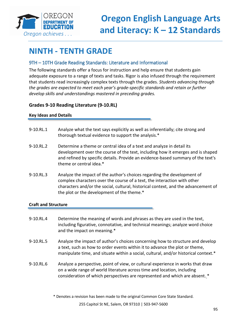

# **NINTH - TENTH GRADE**

## 9TH – 10TH Grade Reading Standards: Literature and Informational

 The following standards offer a focus for instruction and help ensure that students gain adequate exposure to a range of texts and tasks. Rigor is also infused through the requirement that students read increasingly complex texts through the grades. *Students advancing through the grades are expected to meet each year's grade-specific standards and retain or further develop skills and understandings mastered in preceding grades.* 

## **Grades 9-10 Reading Literature (9-10.RL)**

#### **Key Ideas and Details**

- 9-10.RL.1 Analyze what the text says explicitly as well as inferentially; cite strong and thorough textual evidence to support the analysis.\*
- 9-10.RL.2 Determine a theme or central idea of a text and analyze in detail its and refined by specific details. Provide an evidence-based summary of the text's development over the course of the text, including how it emerges and is shaped theme or central idea.\*
- complex characters over the course of a text, the interaction with other 9-10.RL.3 Analyze the impact of the author's choices regarding the development of characters and/or the social, cultural, historical context, and the advancement of the plot or the development of the theme.\*

## **Craft and Structure**

- 9-10.RL.4 Determine the meaning of words and phrases as they are used in the text, including figurative, connotative, and technical meanings; analyze word choice and the impact on meaning.\*
- 9-10.RL.5 Analyze the impact of author's choices concerning how to structure and develop a text, such as how to order events within it to advance the plot or theme, manipulate time, and situate within a social, cultural, and/or historical context.\*
- 9-10.RL.6 Analyze a perspective, point of view, or cultural experience in works that draw on a wide range of world literature across time and location, including consideration of which perspectives are represented and which are absent. \*

<sup>\*</sup> Denotes a revision has been made to the original Common Core State Standard.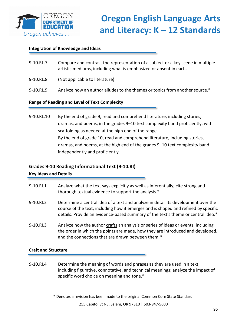

#### **Integration of Knowledge and Ideas**

| 9-10.RL.7 | Compare and contrast the representation of a subject or a key scene in multiple |
|-----------|---------------------------------------------------------------------------------|
|           | artistic mediums, including what is emphasized or absent in each.               |

- 9-10.RL.8 (Not applicable to literature)
- 9-10.RL.9 Analyze how an author alludes to the themes or topics from another source.\*

#### **Range of Reading and Level of Text Complexity**

9-10.RL.10 By the end of grade 9, read and comprehend literature, including stories, dramas, and poems, in the grades 9–10 text complexity band proficiently, with scaffolding as needed at the high end of the range. By the end of grade 10, read and comprehend literature, including stories, dramas, and poems, at the high end of the grades 9–10 text complexity band independently and proficiently.

#### **Grades 9-10 Reading Informational Text (9-10.RI)**

#### **Key Ideas and Details**

| 9-10.RI.1 | Analyze what the text says explicitly as well as inferentially; cite strong and<br>thorough textual evidence to support the analysis.*                                                                                                                      |
|-----------|-------------------------------------------------------------------------------------------------------------------------------------------------------------------------------------------------------------------------------------------------------------|
| 9-10.RI.2 | Determine a central idea of a text and analyze in detail its development over the<br>course of the text, including how it emerges and is shaped and refined by specific<br>details. Provide an evidence-based summary of the text's theme or central idea.* |
| 9-10.RI.3 | Analyze how the author crafts an analysis or series of ideas or events, including<br>the order in which the points are made, how they are introduced and developed,<br>and the connections that are drawn between them.*                                    |

#### **Craft and Structure**

 9-10.RI.4 Determine the meaning of words and phrases as they are used in a text, including figurative, connotative, and technical meanings; analyze the impact of specific word choice on meaning and tone.\*

\* Denotes a revision has been made to the original Common Core State Standard.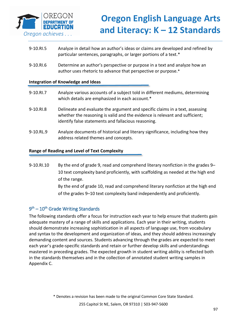

- 9-10.RI.5 Analyze in detail how an author's ideas or claims are developed and refined by particular sentences, paragraphs, or larger portions of a text.\*
- author uses rhetoric to advance that perspective or purpose.\* 9-10.RI.6 Determine an author's perspective or purpose in a text and analyze how an

#### **Integration of Knowledge and Ideas**

| 9-10.RI.7 | Analyze various accounts of a subject told in different mediums, determining |
|-----------|------------------------------------------------------------------------------|
|           | which details are emphasized in each account.*                               |
|           |                                                                              |

- 9-10.RI.8 Delineate and evaluate the argument and specific claims in a text, assessing whether the reasoning is valid and the evidence is relevant and sufficient; identify false statements and fallacious reasoning.
- 9-10.RL.9 Analyze documents of historical and literary significance, including how they address related themes and concepts.

#### **Range of Reading and Level of Text Complexity**

 of the range. 9-10.RI.10 By the end of grade 9, read and comprehend literary nonfiction in the grades 9– 10 text complexity band proficiently, with scaffolding as needed at the high end

By the end of grade 10, read and comprehend literary nonfiction at the high end of the grades 9–10 text complexity band independently and proficiently.

## 9<sup>th</sup> – 10<sup>th</sup> Grade Writing Standards

 The following standards offer a focus for instruction each year to help ensure that students gain and syntax to the development and organization of ideas, and they should address increasingly adequate mastery of a range of skills and applications. Each year in their writing, students should demonstrate increasing sophistication in all aspects of language use, from vocabulary demanding content and sources. Students advancing through the grades are expected to meet each year's grade-specific standards and retain or further develop skills and understandings mastered in preceding grades. The expected growth in student writing ability is reflected both in the standards themselves and in the collection of annotated student writing samples in Appendix C.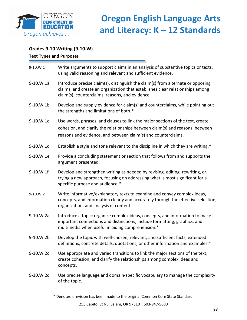

## **Grades 9-10 Writing (9-10.W)**

## **Text Types and Purposes**

| $9-10.W.1$ | Write arguments to support claims in an analysis of substantive topics or texts,<br>using valid reasoning and relevant and sufficient evidence.                                                                                  |
|------------|----------------------------------------------------------------------------------------------------------------------------------------------------------------------------------------------------------------------------------|
| 9-10.W.1a  | Introduce precise claim(s), distinguish the claim(s) from alternate or opposing<br>claims, and create an organization that establishes clear relationships among<br>claim(s), counterclaims, reasons, and evidence.              |
| 9-10.W.1b  | Develop and supply evidence for claim(s) and counterclaims, while pointing out<br>the strengths and limitations of both.*                                                                                                        |
| 9-10.W.1c  | Use words, phrases, and clauses to link the major sections of the text, create<br>cohesion, and clarify the relationships between claim(s) and reasons, between<br>reasons and evidence, and between claim(s) and counterclaims. |
| 9-10.W.1d  | Establish a style and tone relevant to the discipline in which they are writing.*                                                                                                                                                |
| 9-10.W.1e  | Provide a concluding statement or section that follows from and supports the<br>argument presented.                                                                                                                              |
| 9-10.W.1f  | Develop and strengthen writing as needed by revising, editing, rewriting, or<br>trying a new approach, focusing on addressing what is most significant for a<br>specific purpose and audience.*                                  |
| 9-10.W.2   | Write informative/explanatory texts to examine and convey complex ideas,<br>concepts, and information clearly and accurately through the effective selection,<br>organization, and analysis of content.                          |
| 9-10.W.2a  | Introduce a topic; organize complex ideas, concepts, and information to make<br>important connections and distinctions; include formatting, graphics, and<br>multimedia when useful in aiding comprehension.*                    |
| 9-10.W.2b  | Develop the topic with well-chosen, relevant, and sufficient facts, extended<br>definitions, concrete details, quotations, or other information and examples.*                                                                   |
| 9-10.W.2c  | Use appropriate and varied transitions to link the major sections of the text,<br>create cohesion, and clarify the relationships among complex ideas and<br>concepts.                                                            |
| 9-10.W.2d  | Use precise language and domain-specific vocabulary to manage the complexity<br>of the topic.                                                                                                                                    |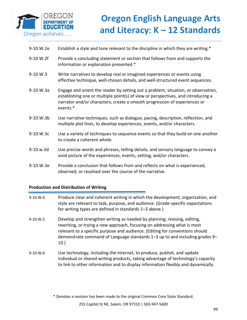

- 9-10.W.2e Establish a style and tone relevant to the discipline in which they are writing.\*
- 9-10.W.2f Provide a concluding statement or section that follows from and supports the information or explanation presented.\*
- 9-10.W.3 Write narratives to develop real or imagined experiences or events using effective technique, well-chosen details, and well-structured event sequences.
- establishing one or multiple point(s) of view or perspectives, and introducing a narrator and/or characters; create a smooth progression of experiences or 9-10.W.3a Engage and orient the reader by setting out a problem, situation, or observation, events.\*
- 9-10.W.3b Use narrative techniques, such as dialogue, pacing, description, reflection, and multiple plot lines, to develop experiences, events, and/or characters.
- 9-10.W.3c Use a variety of techniques to sequence events so that they build on one another to create a coherent whole.
- 9-10.w.3d Use precise words and phrases, telling details, and sensory language to convey a vivid picture of the experiences, events, setting, and/or characters.
- observed, or resolved over the course of the narrative. 9-10.W.3e Provide a conclusion that follows from and reflects on what is experienced,

#### **Production and Distribution of Writing**

| 9-10.W.4 | Produce clear and coherent writing in which the development, organization, and<br>style are relevant to task, purpose, and audience. (Grade-specific expectations<br>for writing types are defined in standards 1–3 above.)                                                                                                |
|----------|----------------------------------------------------------------------------------------------------------------------------------------------------------------------------------------------------------------------------------------------------------------------------------------------------------------------------|
| 9-10.W.5 | Develop and strengthen writing as needed by planning, revising, editing,<br>rewriting, or trying a new approach, focusing on addressing what is most<br>relevant to a specific purpose and audience. (Editing for conventions should<br>demonstrate command of Language standards 1–3 up to and including grades 9–<br>10. |
| 9-10.W.6 | Use technology, including the Internet, to produce, publish, and update<br>individual or shared writing products, taking advantage of technology's capacity<br>to link to other information and to display information flexibly and dynamically.                                                                           |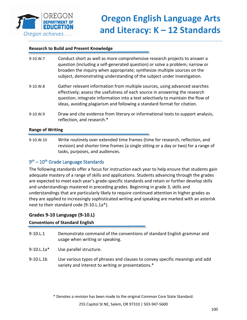

#### **Research to Build and Present Knowledge**

| 9-10.W.7    | Conduct short as well as more comprehensive research projects to answer a<br>question (including a self-generated question) or solve a problem; narrow or<br>broaden the inquiry when appropriate; synthesize multiple sources on the<br>subject, demonstrating understanding of the subject under investigation.        |
|-------------|--------------------------------------------------------------------------------------------------------------------------------------------------------------------------------------------------------------------------------------------------------------------------------------------------------------------------|
| $9-10.W.8$  | Gather relevant information from multiple sources, using advanced searches<br>effectively; assess the usefulness of each source in answering the research<br>question; integrate information into a text selectively to maintain the flow of<br>ideas, avoiding plagiarism and following a standard format for citation. |
| $9-10. W.9$ | Draw and cite evidence from literary or informational texts to support analysis,<br>reflection, and research.*                                                                                                                                                                                                           |

#### **Range of Writing**

 9-10.W.10 Write routinely over extended time frames (time for research, reflection, and revision) and shorter time frames (a single sitting or a day or two) for a range of tasks, purposes, and audiences.

## 9<sup>th</sup> – 10<sup>th</sup> Grade Language Standards

 The following standards offer a focus for instruction each year to help ensure that students gain next to their standard code (9-10.L.1a\*). adequate mastery of a range of skills and applications. Students advancing through the grades are expected to meet each year's grade-specific standards and retain or further develop skills and understandings mastered in preceding grades. Beginning in grade 3, skills and understandings that are particularly likely to require continued attention in higher grades as they are applied to increasingly sophisticated writing and speaking are marked with an asterisk

#### **Grades 9-10 Language (9-10.L)**

#### **Conventions of Standard English**

| 9-10.L.1   | Demonstrate command of the conventions of standard English grammar and<br>usage when writing or speaking. |
|------------|-----------------------------------------------------------------------------------------------------------|
| 9-10.L.1a* | Use parallel structure.                                                                                   |

9-10.L.1b Use various types of phrases and clauses to convey specific meanings and add variety and interest to writing or presentations.\*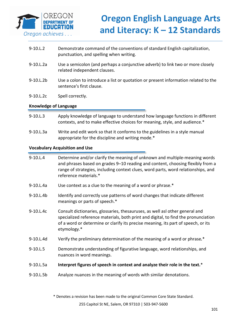

- 9-10.L.2 Demonstrate command of the conventions of standard English capitalization, punctuation, and spelling when writing.
- 9-10.L.2a Use a semicolon (and perhaps a conjunctive adverb) to link two or more closely related independent clauses.
- 9-10.L.2b Use a colon to introduce a list or quotation or present information related to the sentence's first clause.
- 9-10.L.2c Spell correctly.

#### **Knowledge of Language**

- contexts, and to make effective choices for meaning, style, and audience.\* 9-10.L.3 Apply knowledge of language to understand how language functions in different
- 9-10.L.3a Write and edit work so that it conforms to the guidelines in a style manual appropriate for the discipline and writing mode.\*

#### **Vocabulary Acquisition and Use**

- and phrases based on grades 9–10 reading and content, choosing flexibly from a 9-10.L.4 Determine and/or clarify the meaning of unknown and multiple-meaning words range of strategies, including context clues, word parts, word relationships, and reference materials.\*
- 9-10.L.4a Use context as a clue to the meaning of a word or phrase.\*
- 9-10.L.4b Identify and correctly use patterns of word changes that indicate different meanings or parts of speech.\*
- of a word or determine or clarify its precise meaning, its part of speech, or its 9-10.L.4c Consult dictionaries, glossaries, thesauruses, as well asl other general and specialized reference materials, both print and digital, to find the pronunciation etymology.\*
- 9-10.L.4d Verify the preliminary determination of the meaning of a word or phrase*.*\*
- 9-10.L.5 Demonstrate understanding of figurative language, word relationships, and nuances in word meanings.
- 9-10.L.5a **Interpret figures of speech in context and analyze their role in the text.**\*
- 9-10.L.5b Analyze nuances in the meaning of words with similar denotations.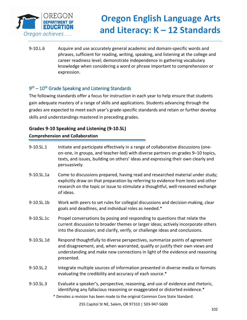

# **Oregon English Language Arts and Literacy: K – 12 Standards**

 9-10.L.6 Acquire and use accurately general academic and domain-specific words and phrases, sufficient for reading, writing, speaking, and listening at the college and career readiness level; demonstrate independence in gathering vocabulary knowledge when considering a word or phrase important to comprehension or expression.

## $9<sup>th</sup> - 10<sup>th</sup>$  Grade Speaking and Listening Standards

 The following standards offer a focus for instruction in each year to help ensure that students grades are expected to meet each year's grade-specific standards and retain or further develop gain adequate mastery of a range of skills and applications. Students advancing through the skills and understandings mastered in preceding grades.

## **Grades 9-10 Speaking and Listening (9-10.SL)**

#### **Comprehension and Collaboration**

| Initiate and participate effectively in a range of collaborative discussions (one-<br>on-one, in groups, and teacher-led) with diverse partners on grades 9-10 topics,<br>texts, and issues, building on others' ideas and expressing their own clearly and<br>persuasively. |
|------------------------------------------------------------------------------------------------------------------------------------------------------------------------------------------------------------------------------------------------------------------------------|
| Come to discussions prepared, having read and researched material under study;<br>explicitly draw on that preparation by referring to evidence from texts and other<br>research on the topic or issue to stimulate a thoughtful, well-reasoned exchange<br>of ideas.         |
| Work with peers to set rules for collegial discussions and decision-making, clear<br>goals and deadlines, and individual roles as needed.*                                                                                                                                   |
| Propel conversations by posing and responding to questions that relate the<br>current discussion to broader themes or larger ideas; actively incorporate others<br>into the discussion; and clarify, verify, or challenge ideas and conclusions.                             |
| Respond thoughtfully to diverse perspectives, summarize points of agreement<br>and disagreement, and, when warranted, qualify or justify their own views and<br>understanding and make new connections in light of the evidence and reasoning<br>presented.                  |
| Integrate multiple sources of information presented in diverse media or formats<br>evaluating the credibility and accuracy of each source.*                                                                                                                                  |
| Evaluate a speaker's, perspective, reasoning, and use of evidence and rhetoric,<br>identifying any fallacious reasoning or exaggerated or distorted evidence.*<br>* Denotes a revision has been made to the original Common Core State Standard.                             |
|                                                                                                                                                                                                                                                                              |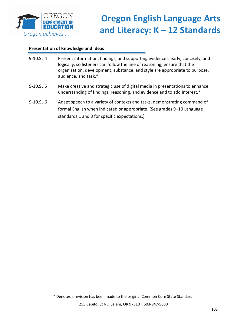

#### **Presentation of Knowledge and Ideas**

| 9-10.SL.4 | Present information, findings, and supporting evidence clearly, concisely, and<br>logically, so listeners can follow the line of reasoning; ensure that the<br>organization, development, substance, and style are appropriate to purpose,<br>audience, and task.* |
|-----------|--------------------------------------------------------------------------------------------------------------------------------------------------------------------------------------------------------------------------------------------------------------------|
| 0.10 CL 5 | Alake creative and strategic use of digital media in presentations to enhance                                                                                                                                                                                      |

- 9-10.SL.5 Make creative and strategic use of digital media in presentations to enhance understanding of findings, reasoning, and evidence and to add interest*.*\*
- standards 1 and 3 for specific expectations.) 9-10.SL.6 Adapt speech to a variety of contexts and tasks, demonstrating command of formal English when indicated or appropriate. (See grades 9–10 Language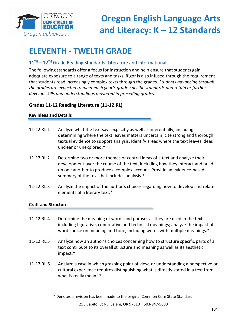

# **ELEVENTH - TWELTH GRADE**

## $11<sup>TH</sup> - 12<sup>TH</sup>$  Grade Reading Standards: Literature and Informational

 The following standards offer a focus for instruction and help ensure that students gain adequate exposure to a range of texts and tasks. Rigor is also infused through the requirement that students read increasingly complex texts through the grades. *Students advancing through the grades are expected to meet each year's grade-specific standards and retain or further develop skills and understandings mastered in preceding grades.* 

## **Grades 11-12 Reading Literature (11-12.RL)**

#### **Key Ideas and Details**

- textual evidence to support analysis. Identify areas where the text leaves ideas 11-12.RL.1 Analyze what the text says explicitly as well as inferentially, including determining where the text leaves matters uncertain; cite strong and thorough unclear or unexplored.\*
- 11-12.RL.2 Determine two or more themes or central ideas of a text and analyze their development over the course of the text, including how they interact and build on one another to produce a complex account. Provide an evidence-based summary of the text that includes analysis.\*
- 11-12.RL.3 Analyze the impact of the author's choices regarding how to develop and relate elements of a literary text.\*

## **Craft and Structure**

- 11-12.RL.4 Determine the meaning of words and phrases as they are used in the text, including figurative, connotative and technical meanings; analyze the impact of word choice on meaning and tone, including words with multiple meanings.\*
- text contribute to its overall structure and meaning as well as its aesthetic 11-12.RL.5 Analyze how an author's choices concerning how to structure specific parts of a impact.\*
- 11-12.RL.6 Analyze a case in which grasping point of view, or understanding a perspective or cultural experience requires distinguishing what is directly stated in a text from what is really meant.\*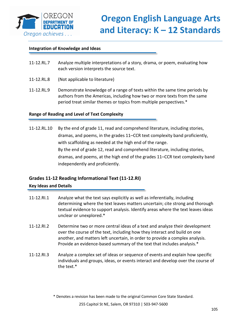

#### **Integration of Knowledge and Ideas**

- each version interprets the source text. 11-12.RL.7 Analyze multiple interpretations of a story, drama, or poem, evaluating how
- 11-12.RL.8 (Not applicable to literature)
- 11-12.RL.9 Demonstrate knowledge of a range of texts within the same time periods by authors from the Americas, including how two or more texts from the same period treat similar themes or topics from multiple perspectives.\*

#### **Range of Reading and Level of Text Complexity**

 dramas, and poems, in the grades 11–CCR text complexity band proficiently, 11-12.RL.10 By the end of grade 11, read and comprehend literature, including stories, with scaffolding as needed at the high end of the range. By the end of grade 12, read and comprehend literature, including stories, dramas, and poems, at the high end of the grades 11–CCR text complexity band independently and proficiently.

## **Grades 11-12 Reading Informational Text (11-12.RI)**

#### **Key Ideas and Details**

- textual evidence to support analysis. Identify areas where the text leaves ideas 11-12.RI.1 Analyze what the text says explicitly as well as inferentially, including determining where the text leaves matters uncertain; cite strong and thorough unclear or unexplored.\*
- 11-12.RI.2 Determine two or more central ideas of a text and analyze their development another, and matters left uncertain, in order to provide a complex analysis. over the course of the text, including how they interact and build on one Provide an evidence-based summary of the text that includes analysis.\*
- 11-12.RI.3 Analyze a complex set of ideas or sequence of events and explain how specific individuals and groups, ideas, or events interact and develop over the course of the text.\*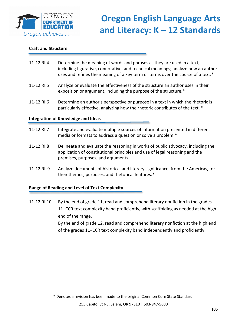

#### **Craft and Structure**

- 11-12.RI.4 Determine the meaning of words and phrases as they are used in a text, including figurative, connotative, and technical meanings; analyze how an author uses and refines the meaning of a key term or terms over the course of a text.\*
- 11-12.RI.5 Analyze or evaluate the effectiveness of the structure an author uses in their exposition or argument, including the purpose of the structure.\*
- particularly effective, analyzing how the rhetoric contributes of the text. \* 11-12.RI.6 Determine an author's perspective or purpose in a text in which the rhetoric is

#### **Integration of Knowledge and Ideas**

- 11-12.RI.7 Integrate and evaluate multiple sources of information presented in different media or formats to address a question or solve a problem.\*
- application of constitutional principles and use of legal reasoning and the 11-12.RI.8 Delineate and evaluate the reasoning in works of public advocacy, including the premises, purposes, and arguments.
- their themes, purposes, and rhetorical features.\* 11-12.RL.9 Analyze documents of historical and literary significance, from the Americas, for

#### **Range of Reading and Level of Text Complexity**

11-12.RI.10 By the end of grade 11, read and comprehend literary nonfiction in the grades 11–CCR text complexity band proficiently, with scaffolding as needed at the high end of the range.

> By the end of grade 12, read and comprehend literary nonfiction at the high end of the grades 11–CCR text complexity band independently and proficiently.

<sup>\*</sup> Denotes a revision has been made to the original Common Core State Standard.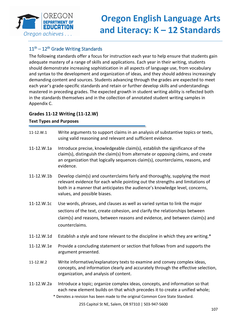

## 11<sup>th</sup> – 12<sup>th</sup> Grade Writing Standards

 The following standards offer a focus for instruction each year to help ensure that students gain and syntax to the development and organization of ideas, and they should address increasingly adequate mastery of a range of skills and applications. Each year in their writing, students should demonstrate increasing sophistication in all aspects of language use, from vocabulary demanding content and sources. Students advancing through the grades are expected to meet each year's grade-specific standards and retain or further develop skills and understandings mastered in preceding grades. The expected growth in student writing ability is reflected both in the standards themselves and in the collection of annotated student writing samples in Appendix C.

## **Grades 11-12 Writing (11-12.W)**

## **Text Types and Purposes**

| 11-12.W.1  | Write arguments to support claims in an analysis of substantive topics or texts,<br>using valid reasoning and relevant and sufficient evidence.                                                                                                                               |
|------------|-------------------------------------------------------------------------------------------------------------------------------------------------------------------------------------------------------------------------------------------------------------------------------|
| 11-12.W.1a | Introduce precise, knowledgeable claim(s), establish the significance of the<br>claim(s), distinguish the claim(s) from alternate or opposing claims, and create<br>an organization that logically sequences claim(s), counterclaims, reasons, and<br>evidence.               |
| 11-12.W.1b | Develop claim(s) and counterclaims fairly and thoroughly, supplying the most<br>relevant evidence for each while pointing out the strengths and limitations of<br>both in a manner that anticipates the audience's knowledge level, concerns,<br>values, and possible biases. |
| 11-12.W.1c | Use words, phrases, and clauses as well as varied syntax to link the major<br>sections of the text, create cohesion, and clarify the relationships between<br>claim(s) and reasons, between reasons and evidence, and between claim(s) and<br>counterclaims.                  |
| 11-12.W.1d | Establish a style and tone relevant to the discipline in which they are writing.*                                                                                                                                                                                             |
| 11-12.W.1e | Provide a concluding statement or section that follows from and supports the<br>argument presented.                                                                                                                                                                           |

- 11-12.W.2 Write informative/explanatory texts to examine and convey complex ideas, concepts, and information clearly and accurately through the effective selection, organization, and analysis of content.
- 11-12.W.2a Introduce a topic; organize complex ideas, concepts, and information so that each new element builds on that which precedes it to create a unified whole;
	- \* Denotes a revision has been made to the original Common Core State Standard.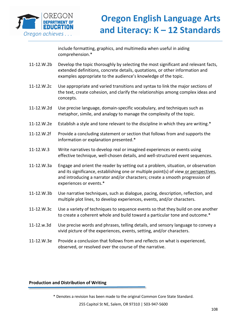

include formatting, graphics, and multimedia when useful in aiding comprehension.\*

- examples appropriate to the audience's knowledge of the topic. 11-12.W.2b Develop the topic thoroughly by selecting the most significant and relevant facts, extended definitions, concrete details, quotations, or other information and
- 11-12.W.2c Use appropriate and varied transitions and syntax to link the major sections of the text, create cohesion, and clarify the relationships among complex ideas and concepts.
- 11-12.W.2d Use precise language, domain-specific vocabulary, and techniques such as metaphor, simile, and analogy to manage the complexity of the topic.
- 11-12.W.2e Establish a style and tone relevant to the discipline in which they are writing.\*
- 11-12.W.2f Provide a concluding statement or section that follows from and supports the information or explanation presented.\*
- 11-12.W.3 Write narratives to develop real or imagined experiences or events using effective technique, well-chosen details, and well-structured event sequences.
- 11-12.W.3a Engage and orient the reader by setting out a problem, situation, or observation and its significance, establishing one or multiple point(s) of view or perspectives, and introducing a narrator and/or characters; create a smooth progression of experiences or events.\*
- multiple plot lines, to develop experiences, events, and/or characters. 11-12.W.3b Use narrative techniques, such as dialogue, pacing, description, reflection, and
- to create a coherent whole and build toward a particular tone and outcome.\* 11-12.W.3c Use a variety of techniques to sequence events so that they build on one another
- 11-12.w.3d Use precise words and phrases, telling details, and sensory language to convey a vivid picture of the experiences, events, setting, and/or characters.
- observed, or resolved over the course of the narrative. 11-12.W.3e Provide a conclusion that follows from and reflects on what is experienced,

#### **Production and Distribution of Writing**

<sup>\*</sup> Denotes a revision has been made to the original Common Core State Standard.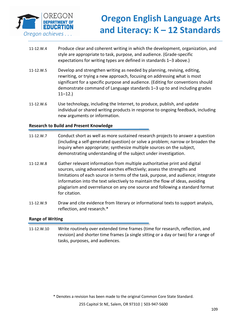

- expectations for writing types are defined in standards 1–3 above.) 11-12.W.4 Produce clear and coherent writing in which the development, organization, and style are appropriate to task, purpose, and audience. (Grade-specific
- 11-12.W.5 Develop and strengthen writing as needed by planning, revising, editing, rewriting, or trying a new approach, focusing on addressing what is most significant for a specific purpose and audience. (Editing for conventions should demonstrate command of Language standards 1–3 up to and including grades  $11-12.$
- 11-12.W.6 Use technology, including the Internet, to produce, publish, and update individual or shared writing products in response to ongoing feedback, including new arguments or information.

#### **Research to Build and Present Knowledge**

- (including a self-generated question) or solve a problem; narrow or broaden the 11-12.W.7 Conduct short as well as more sustained research projects to answer a question inquiry when appropriate; synthesize multiple sources on the subject, demonstrating understanding of the subject under investigation.
- 11-12.W.8 Gather relevant information from multiple authoritative print and digital information into the text selectively to maintain the flow of ideas, avoiding sources, using advanced searches effectively; assess the strengths and limitations of each source in terms of the task, purpose, and audience; integrate plagiarism and overreliance on any one source and following a standard format for citation.
- 11-12.W.9 Draw and cite evidence from literary or informational texts to support analysis, reflection, and research.\*

#### **Range of Writing**

 11-12.W.10 Write routinely over extended time frames (time for research, reflection, and revision) and shorter time frames (a single sitting or a day or two) for a range of tasks, purposes, and audiences.

\* Denotes a revision has been made to the original Common Core State Standard.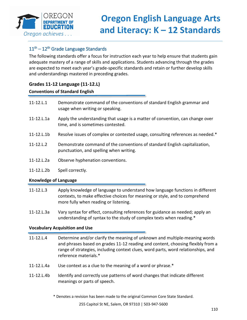

# $11<sup>th</sup> - 12<sup>th</sup>$  Grade Language Standards

 The following standards offer a focus for instruction each year to help ensure that students gain adequate mastery of a range of skills and applications. Students advancing through the grades are expected to meet each year's grade-specific standards and retain or further develop skills and understandings mastered in preceding grades.

## **Grades 11-12 Language (11-12.L)**

#### **Conventions of Standard English**

| $11 - 12.$ L. $1$ | Demonstrate command of the conventions of standard English grammar and<br>usage when writing or speaking.          |
|-------------------|--------------------------------------------------------------------------------------------------------------------|
| 11-12.L.1a        | Apply the understanding that usage is a matter of convention, can change over<br>time, and is sometimes contested. |

- 11-12.L.1b Resolve issues of complex or contested usage, consulting references as needed.\*
- 11-12.L.2 Demonstrate command of the conventions of standard English capitalization, punctuation, and spelling when writing.
- 11-12.L.2a Observe hyphenation conventions.
- 11-12.L.2b Spell correctly.

#### **Knowledge of Language**

- 11-12.L.3 Apply knowledge of language to understand how language functions in different contexts, to make effective choices for meaning or style, and to comprehend more fully when reading or listening.
- understanding of syntax to the study of complex texts when reading.\* 11-12.L.3a Vary syntax for effect, consulting references for guidance as needed; apply an

#### **Vocabulary Acquisition and Use**

- and phrases based on grades 11-12 reading and content, choosing flexibly from a 11-12.L.4 Determine and/or clarify the meaning of unknown and multiple-meaning words range of strategies, including context clues, word parts, word relationships, and reference materials.\*
- 11-12.L.4a Use context as a clue to the meaning of a word or phrase.\*
- 11-12.L.4b Identify and correctly use patterns of word changes that indicate different meanings or parts of speech.

\* Denotes a revision has been made to the original Common Core State Standard.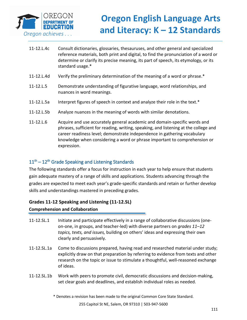

- 11-12.L.4c Consult dictionaries, glossaries, thesauruses, and other general and specialized reference materials, both print and digital, to find the pronunciation of a word or determine or clarify its precise meaning, its part of speech, its etymology, or its standard usage.\*
- 11-12.L.4d Verify the preliminary determination of the meaning of a word or phrase.\*
- 11-12.L.5 Demonstrate understanding of figurative language, word relationships, and nuances in word meanings.
- 11-12.L.5a Interpret figures of speech in context and analyze their role in the text. $*$
- 11-12.L.5b Analyze nuances in the meaning of words with similar denotations.
- 11-12.L.6 Acquire and use accurately general academic and domain-specific words and phrases, sufficient for reading, writing, speaking, and listening at the college and career readiness level; demonstrate independence in gathering vocabulary knowledge when considering a word or phrase important to comprehension or expression.

# $11<sup>th</sup> - 12<sup>th</sup>$  Grade Speaking and Listening Standards

 The following standards offer a focus for instruction in each year to help ensure that students grades are expected to meet each year's grade-specific standards and retain or further develop gain adequate mastery of a range of skills and applications. Students advancing through the skills and understandings mastered in preceding grades.

### **Grades 11-12 Speaking and Listening (11-12.SL)**

#### **Comprehension and Collaboration**

- *topics, texts, and issues,* building on others' ideas and expressing their own 11-12.SL.1 Initiate and participate effectively in a range of collaborative discussions (oneon-one, in groups, and teacher-led) with diverse partners on *grades 11–12*  clearly and persuasively.
- 11-12.SL.1a Come to discussions prepared, having read and researched material under study; explicitly draw on that preparation by referring to evidence from texts and other research on the topic or issue to stimulate a thoughtful, well-reasoned exchange of ideas.
- 11-12.SL.1b Work with peers to promote civil, democratic discussions and decision-making, set clear goals and deadlines, and establish individual roles as needed.

\* Denotes a revision has been made to the original Common Core State Standard.